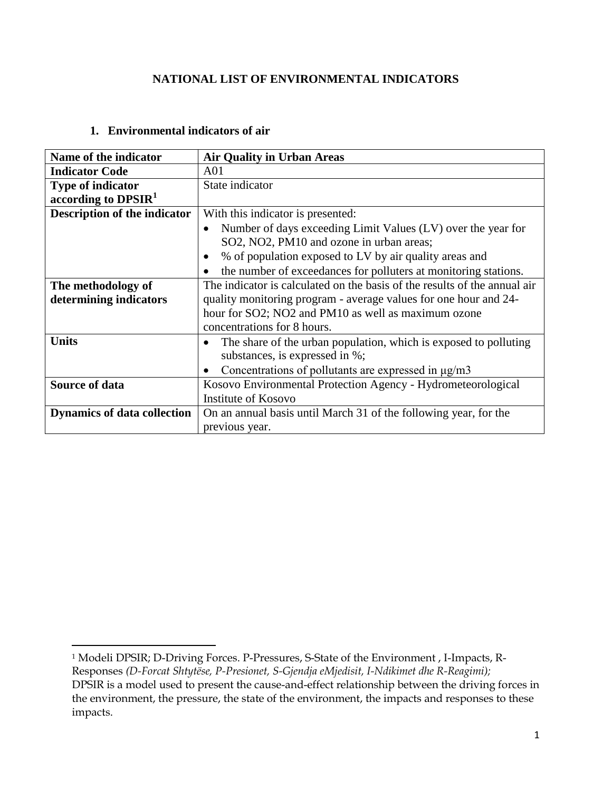#### **NATIONAL LIST OF ENVIRONMENTAL INDICATORS**

#### **1. Environmental indicators of air**

 $\overline{a}$ 

| Name of the indicator              | <b>Air Quality in Urban Areas</b>                                                                        |
|------------------------------------|----------------------------------------------------------------------------------------------------------|
| <b>Indicator Code</b>              | A <sub>01</sub>                                                                                          |
| <b>Type of indicator</b>           | State indicator                                                                                          |
| according to $DPSIR1$              |                                                                                                          |
| Description of the indicator       | With this indicator is presented:                                                                        |
|                                    | Number of days exceeding Limit Values (LV) over the year for<br>SO2, NO2, PM10 and ozone in urban areas; |
|                                    | % of population exposed to LV by air quality areas and<br>$\bullet$                                      |
|                                    | the number of exceedances for polluters at monitoring stations.                                          |
| The methodology of                 | The indicator is calculated on the basis of the results of the annual air                                |
| determining indicators             | quality monitoring program - average values for one hour and 24-                                         |
|                                    | hour for SO2; NO2 and PM10 as well as maximum ozone                                                      |
|                                    | concentrations for 8 hours.                                                                              |
| <b>Units</b>                       | The share of the urban population, which is exposed to polluting<br>substances, is expressed in %;       |
|                                    | Concentrations of pollutants are expressed in µg/m3                                                      |
| <b>Source of data</b>              | Kosovo Environmental Protection Agency - Hydrometeorological                                             |
|                                    | <b>Institute of Kosovo</b>                                                                               |
| <b>Dynamics of data collection</b> | On an annual basis until March 31 of the following year, for the                                         |
|                                    | previous year.                                                                                           |

<sup>1</sup> Modeli DPSIR; D-Driving Forces. P-Pressures, S-State of the Environment , I-Impacts, R-Responses *(D-Forcat Shtytëse, P-Presionet, S-Gjendja eMjedisit, I-Ndikimet dhe R-Reagimi);*  DPSIR is a model used to present the cause-and-effect relationship between the driving forces in the environment, the pressure, the state of the environment, the impacts and responses to these impacts.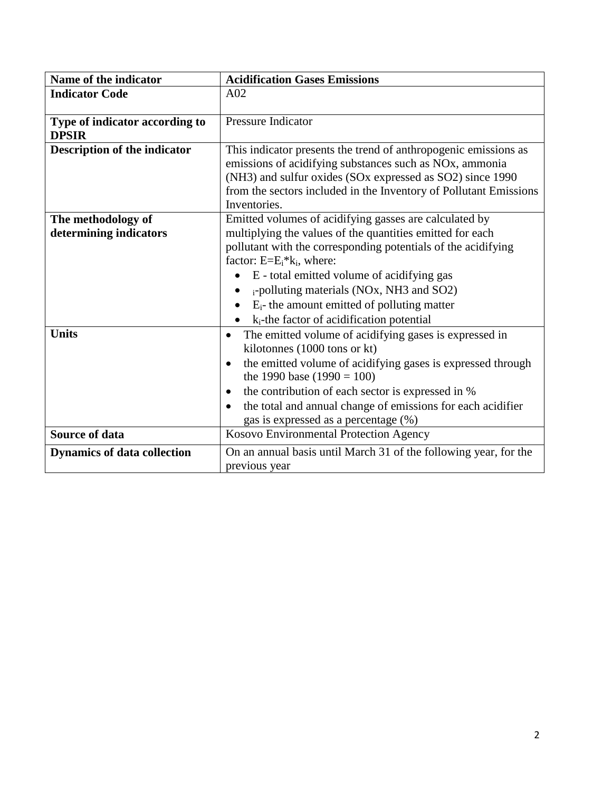| Name of the indicator               | <b>Acidification Gases Emissions</b>                                     |
|-------------------------------------|--------------------------------------------------------------------------|
| <b>Indicator Code</b>               | A02                                                                      |
|                                     |                                                                          |
| Type of indicator according to      | Pressure Indicator                                                       |
| <b>DPSIR</b>                        |                                                                          |
| <b>Description of the indicator</b> | This indicator presents the trend of anthropogenic emissions as          |
|                                     | emissions of acidifying substances such as NOx, ammonia                  |
|                                     | (NH3) and sulfur oxides (SOx expressed as SO2) since 1990                |
|                                     | from the sectors included in the Inventory of Pollutant Emissions        |
|                                     | Inventories.                                                             |
| The methodology of                  | Emitted volumes of acidifying gasses are calculated by                   |
| determining indicators              | multiplying the values of the quantities emitted for each                |
|                                     | pollutant with the corresponding potentials of the acidifying            |
|                                     | factor: $E=E_i* k_i$ , where:                                            |
|                                     | E - total emitted volume of acidifying gas                               |
|                                     | i-polluting materials (NOx, NH3 and SO2)                                 |
|                                     | $E_i$ - the amount emitted of polluting matter                           |
|                                     | $k_i$ -the factor of acidification potential                             |
| <b>Units</b>                        | The emitted volume of acidifying gases is expressed in<br>$\bullet$      |
|                                     | kilotonnes (1000 tons or kt)                                             |
|                                     | the emitted volume of acidifying gases is expressed through<br>$\bullet$ |
|                                     | the 1990 base $(1990 = 100)$                                             |
|                                     | the contribution of each sector is expressed in %                        |
|                                     | ٠                                                                        |
|                                     | the total and annual change of emissions for each acidifier<br>$\bullet$ |
|                                     | gas is expressed as a percentage (%)                                     |
| <b>Source of data</b>               | Kosovo Environmental Protection Agency                                   |
| <b>Dynamics of data collection</b>  | On an annual basis until March 31 of the following year, for the         |
|                                     | previous year                                                            |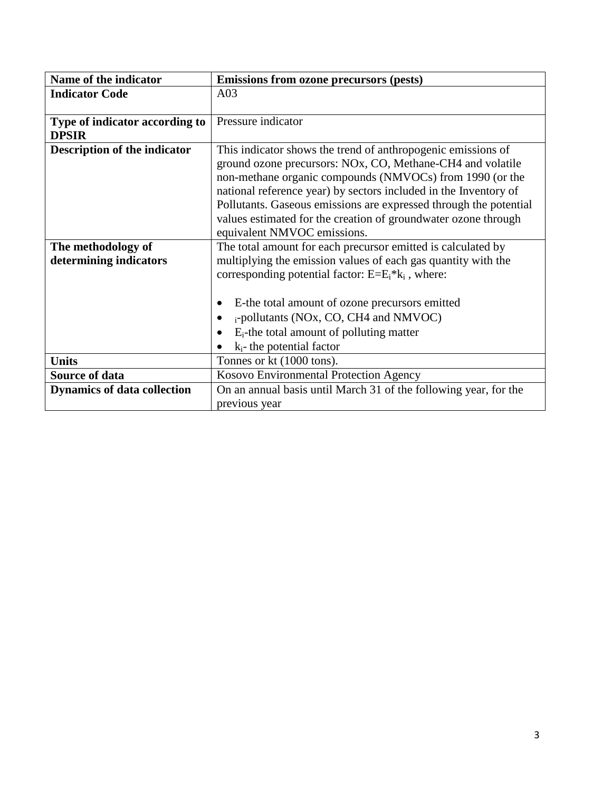| <b>Emissions from ozone precursors (pests)</b>                    |
|-------------------------------------------------------------------|
| A03                                                               |
|                                                                   |
| Pressure indicator                                                |
|                                                                   |
| This indicator shows the trend of anthropogenic emissions of      |
| ground ozone precursors: NOx, CO, Methane-CH4 and volatile        |
| non-methane organic compounds (NMVOCs) from 1990 (or the          |
| national reference year) by sectors included in the Inventory of  |
| Pollutants. Gaseous emissions are expressed through the potential |
| values estimated for the creation of groundwater ozone through    |
| equivalent NMVOC emissions.                                       |
| The total amount for each precursor emitted is calculated by      |
| multiplying the emission values of each gas quantity with the     |
| corresponding potential factor: $E=E_i^*k_i$ , where:             |
|                                                                   |
| E-the total amount of ozone precursors emitted                    |
| i-pollutants (NOx, CO, CH4 and NMVOC)                             |
| $E_i$ -the total amount of polluting matter<br>$\bullet$          |
| $k_i$ - the potential factor                                      |
| Tonnes or kt (1000 tons).                                         |
| Kosovo Environmental Protection Agency                            |
| On an annual basis until March 31 of the following year, for the  |
| previous year                                                     |
|                                                                   |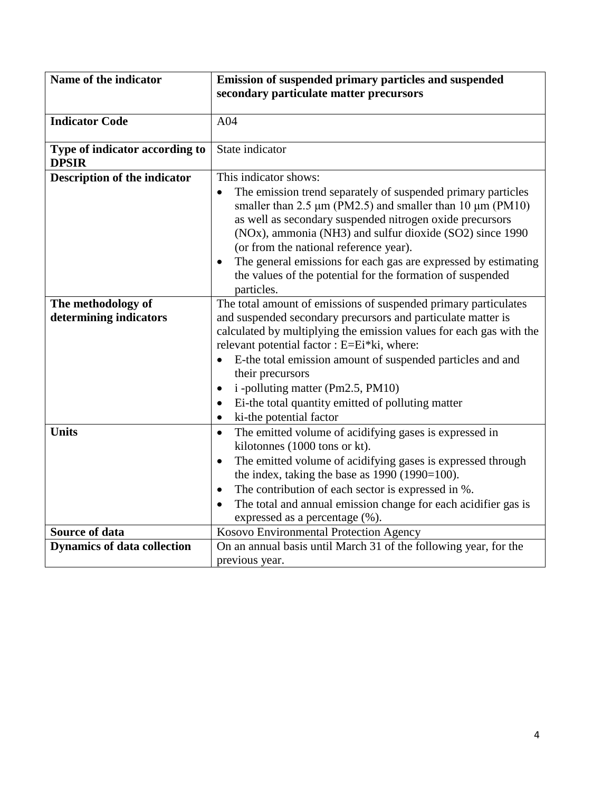| Name of the indicator                          | Emission of suspended primary particles and suspended<br>secondary particulate matter precursors                                                                                                                                                                                                                                                                                     |
|------------------------------------------------|--------------------------------------------------------------------------------------------------------------------------------------------------------------------------------------------------------------------------------------------------------------------------------------------------------------------------------------------------------------------------------------|
|                                                |                                                                                                                                                                                                                                                                                                                                                                                      |
| <b>Indicator Code</b>                          | A04                                                                                                                                                                                                                                                                                                                                                                                  |
| Type of indicator according to<br><b>DPSIR</b> | State indicator                                                                                                                                                                                                                                                                                                                                                                      |
| <b>Description of the indicator</b>            | This indicator shows:                                                                                                                                                                                                                                                                                                                                                                |
|                                                | The emission trend separately of suspended primary particles<br>$\bullet$<br>smaller than 2.5 $\mu$ m (PM2.5) and smaller than 10 $\mu$ m (PM10)<br>as well as secondary suspended nitrogen oxide precursors<br>(NOx), ammonia (NH3) and sulfur dioxide (SO2) since 1990<br>(or from the national reference year).<br>The general emissions for each gas are expressed by estimating |
|                                                | the values of the potential for the formation of suspended<br>particles.                                                                                                                                                                                                                                                                                                             |
| The methodology of<br>determining indicators   | The total amount of emissions of suspended primary particulates<br>and suspended secondary precursors and particulate matter is<br>calculated by multiplying the emission values for each gas with the<br>relevant potential factor : E=Ei*ki, where:                                                                                                                                |
|                                                | E-the total emission amount of suspended particles and and<br>their precursors                                                                                                                                                                                                                                                                                                       |
|                                                | i -polluting matter (Pm2.5, PM10)<br>$\bullet$                                                                                                                                                                                                                                                                                                                                       |
|                                                | Ei-the total quantity emitted of polluting matter<br>٠                                                                                                                                                                                                                                                                                                                               |
|                                                | ki-the potential factor<br>$\bullet$                                                                                                                                                                                                                                                                                                                                                 |
| <b>Units</b>                                   | The emitted volume of acidifying gases is expressed in<br>$\bullet$<br>kilotonnes (1000 tons or kt).                                                                                                                                                                                                                                                                                 |
|                                                | The emitted volume of acidifying gases is expressed through<br>$\bullet$                                                                                                                                                                                                                                                                                                             |
|                                                | the index, taking the base as $1990(1990=100)$ .                                                                                                                                                                                                                                                                                                                                     |
|                                                | The contribution of each sector is expressed in %.<br>$\bullet$                                                                                                                                                                                                                                                                                                                      |
|                                                | The total and annual emission change for each acidifier gas is<br>$\bullet$                                                                                                                                                                                                                                                                                                          |
|                                                | expressed as a percentage (%).                                                                                                                                                                                                                                                                                                                                                       |
| <b>Source of data</b>                          | Kosovo Environmental Protection Agency                                                                                                                                                                                                                                                                                                                                               |
| <b>Dynamics of data collection</b>             | On an annual basis until March 31 of the following year, for the                                                                                                                                                                                                                                                                                                                     |
|                                                | previous year.                                                                                                                                                                                                                                                                                                                                                                       |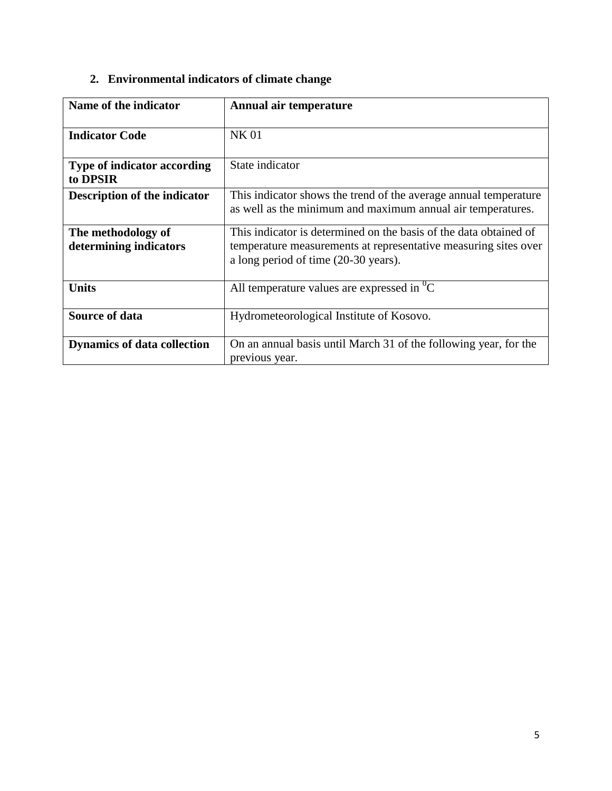|  | 2. Environmental indicators of climate change |  |  |  |
|--|-----------------------------------------------|--|--|--|
|--|-----------------------------------------------|--|--|--|

| Name of the indicator                          | Annual air temperature                                                                                                                                                       |
|------------------------------------------------|------------------------------------------------------------------------------------------------------------------------------------------------------------------------------|
|                                                |                                                                                                                                                                              |
| <b>Indicator Code</b>                          | <b>NK01</b>                                                                                                                                                                  |
| <b>Type of indicator according</b><br>to DPSIR | State indicator                                                                                                                                                              |
| <b>Description of the indicator</b>            | This indicator shows the trend of the average annual temperature<br>as well as the minimum and maximum annual air temperatures.                                              |
| The methodology of<br>determining indicators   | This indicator is determined on the basis of the data obtained of<br>temperature measurements at representative measuring sites over<br>a long period of time (20-30 years). |
| <b>Units</b>                                   | All temperature values are expressed in $^0C$                                                                                                                                |
| Source of data                                 | Hydrometeorological Institute of Kosovo.                                                                                                                                     |
| <b>Dynamics of data collection</b>             | On an annual basis until March 31 of the following year, for the<br>previous year.                                                                                           |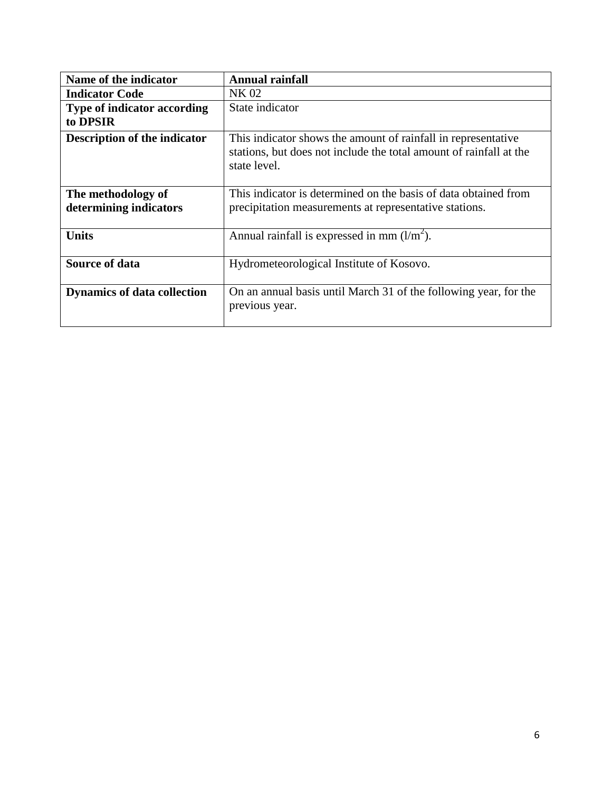| Name of the indicator               | <b>Annual rainfall</b>                                                                                                                              |
|-------------------------------------|-----------------------------------------------------------------------------------------------------------------------------------------------------|
| <b>Indicator Code</b>               | NK 02                                                                                                                                               |
| <b>Type of indicator according</b>  | State indicator                                                                                                                                     |
| to DPSIR                            |                                                                                                                                                     |
| <b>Description of the indicator</b> | This indicator shows the amount of rainfall in representative<br>stations, but does not include the total amount of rainfall at the<br>state level. |
| The methodology of                  | This indicator is determined on the basis of data obtained from                                                                                     |
| determining indicators              | precipitation measurements at representative stations.                                                                                              |
| <b>Units</b>                        | Annual rainfall is expressed in mm $(l/m2)$ .                                                                                                       |
| Source of data                      | Hydrometeorological Institute of Kosovo.                                                                                                            |
| <b>Dynamics of data collection</b>  | On an annual basis until March 31 of the following year, for the<br>previous year.                                                                  |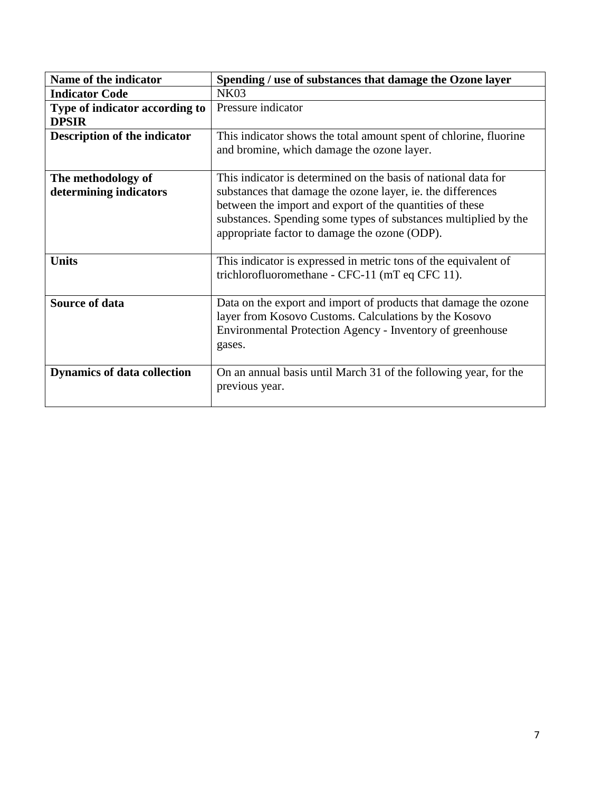| Name of the indicator               | Spending / use of substances that damage the Ozone layer          |
|-------------------------------------|-------------------------------------------------------------------|
| <b>Indicator Code</b>               | <b>NK03</b>                                                       |
| Type of indicator according to      | Pressure indicator                                                |
| <b>DPSIR</b>                        |                                                                   |
| <b>Description of the indicator</b> | This indicator shows the total amount spent of chlorine, fluorine |
|                                     | and bromine, which damage the ozone layer.                        |
|                                     |                                                                   |
| The methodology of                  | This indicator is determined on the basis of national data for    |
| determining indicators              | substances that damage the ozone layer, ie. the differences       |
|                                     | between the import and export of the quantities of these          |
|                                     | substances. Spending some types of substances multiplied by the   |
|                                     | appropriate factor to damage the ozone (ODP).                     |
|                                     |                                                                   |
| <b>Units</b>                        | This indicator is expressed in metric tons of the equivalent of   |
|                                     | trichlorofluoromethane - CFC-11 (mT eq CFC 11).                   |
|                                     |                                                                   |
| <b>Source of data</b>               | Data on the export and import of products that damage the ozone   |
|                                     | layer from Kosovo Customs. Calculations by the Kosovo             |
|                                     | Environmental Protection Agency - Inventory of greenhouse         |
|                                     | gases.                                                            |
|                                     |                                                                   |
| <b>Dynamics of data collection</b>  | On an annual basis until March 31 of the following year, for the  |
|                                     | previous year.                                                    |
|                                     |                                                                   |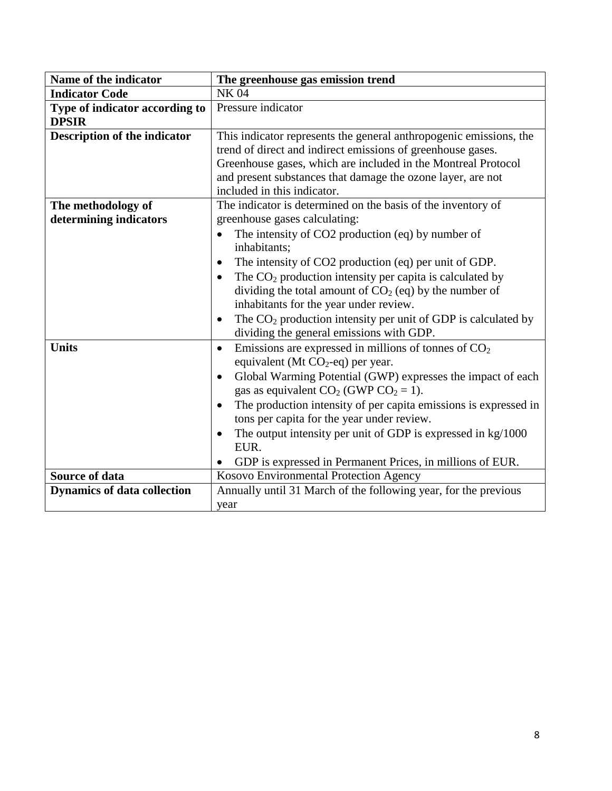| Name of the indicator                          | The greenhouse gas emission trend                                                                                                                                                                                                                                                                                                                                                                                                                                                                                                                     |
|------------------------------------------------|-------------------------------------------------------------------------------------------------------------------------------------------------------------------------------------------------------------------------------------------------------------------------------------------------------------------------------------------------------------------------------------------------------------------------------------------------------------------------------------------------------------------------------------------------------|
| <b>Indicator Code</b>                          | <b>NK04</b>                                                                                                                                                                                                                                                                                                                                                                                                                                                                                                                                           |
| Type of indicator according to<br><b>DPSIR</b> | Pressure indicator                                                                                                                                                                                                                                                                                                                                                                                                                                                                                                                                    |
| <b>Description of the indicator</b>            | This indicator represents the general anthropogenic emissions, the<br>trend of direct and indirect emissions of greenhouse gases.<br>Greenhouse gases, which are included in the Montreal Protocol<br>and present substances that damage the ozone layer, are not<br>included in this indicator.                                                                                                                                                                                                                                                      |
| The methodology of<br>determining indicators   | The indicator is determined on the basis of the inventory of<br>greenhouse gases calculating:<br>The intensity of CO2 production (eq) by number of<br>$\bullet$<br>inhabitants:<br>The intensity of CO2 production (eq) per unit of GDP.<br>$\bullet$<br>The $CO2$ production intensity per capita is calculated by<br>dividing the total amount of $CO2$ (eq) by the number of<br>inhabitants for the year under review.<br>The $CO2$ production intensity per unit of GDP is calculated by<br>$\bullet$<br>dividing the general emissions with GDP. |
| <b>Units</b>                                   | Emissions are expressed in millions of tonnes of $CO2$<br>$\bullet$<br>equivalent (Mt $CO_2$ -eq) per year.<br>Global Warming Potential (GWP) expresses the impact of each<br>$\bullet$<br>gas as equivalent $CO_2$ (GWP $CO_2 = 1$ ).<br>The production intensity of per capita emissions is expressed in<br>$\bullet$<br>tons per capita for the year under review.<br>The output intensity per unit of GDP is expressed in kg/1000<br>$\bullet$<br>EUR.<br>GDP is expressed in Permanent Prices, in millions of EUR.                               |
| <b>Source of data</b>                          | Kosovo Environmental Protection Agency                                                                                                                                                                                                                                                                                                                                                                                                                                                                                                                |
| <b>Dynamics of data collection</b>             | Annually until 31 March of the following year, for the previous<br>year                                                                                                                                                                                                                                                                                                                                                                                                                                                                               |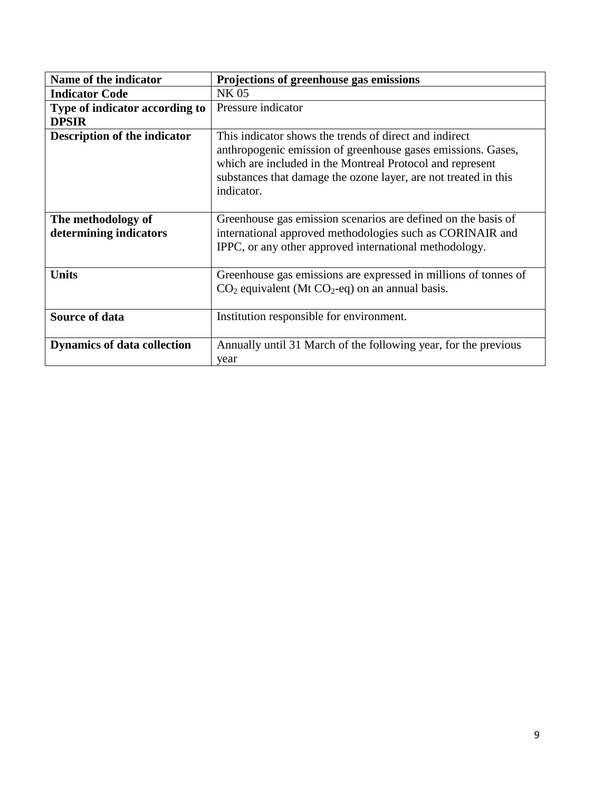| Name of the indicator                        | Projections of greenhouse gas emissions                                                                                                                                                                                                                              |
|----------------------------------------------|----------------------------------------------------------------------------------------------------------------------------------------------------------------------------------------------------------------------------------------------------------------------|
| <b>Indicator Code</b>                        | <b>NK05</b>                                                                                                                                                                                                                                                          |
| Type of indicator according to               | Pressure indicator                                                                                                                                                                                                                                                   |
| <b>DPSIR</b>                                 |                                                                                                                                                                                                                                                                      |
| <b>Description of the indicator</b>          | This indicator shows the trends of direct and indirect<br>anthropogenic emission of greenhouse gases emissions. Gases,<br>which are included in the Montreal Protocol and represent<br>substances that damage the ozone layer, are not treated in this<br>indicator. |
| The methodology of<br>determining indicators | Greenhouse gas emission scenarios are defined on the basis of<br>international approved methodologies such as CORINAIR and<br>IPPC, or any other approved international methodology.                                                                                 |
| <b>Units</b>                                 | Greenhouse gas emissions are expressed in millions of tonnes of<br>$CO2$ equivalent (Mt $CO2$ -eq) on an annual basis.                                                                                                                                               |
| <b>Source of data</b>                        | Institution responsible for environment.                                                                                                                                                                                                                             |
| <b>Dynamics of data collection</b>           | Annually until 31 March of the following year, for the previous<br>year                                                                                                                                                                                              |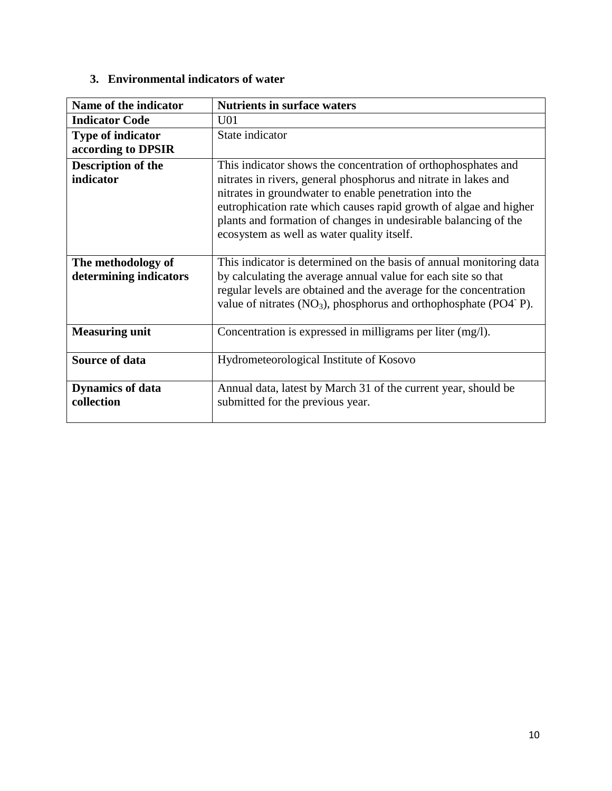### **3. Environmental indicators of water**

| Name of the indicator                          | <b>Nutrients in surface waters</b>                                                                                                                                                                                                                                                                                                                                               |
|------------------------------------------------|----------------------------------------------------------------------------------------------------------------------------------------------------------------------------------------------------------------------------------------------------------------------------------------------------------------------------------------------------------------------------------|
| <b>Indicator Code</b>                          | U <sub>01</sub>                                                                                                                                                                                                                                                                                                                                                                  |
| <b>Type of indicator</b><br>according to DPSIR | State indicator                                                                                                                                                                                                                                                                                                                                                                  |
| Description of the<br>indicator                | This indicator shows the concentration of orthophosphates and<br>nitrates in rivers, general phosphorus and nitrate in lakes and<br>nitrates in groundwater to enable penetration into the<br>eutrophication rate which causes rapid growth of algae and higher<br>plants and formation of changes in undesirable balancing of the<br>ecosystem as well as water quality itself. |
| The methodology of<br>determining indicators   | This indicator is determined on the basis of annual monitoring data<br>by calculating the average annual value for each site so that<br>regular levels are obtained and the average for the concentration<br>value of nitrates $(NO3)$ , phosphorus and orthophosphate $(PO4-P)$ .                                                                                               |
| <b>Measuring unit</b>                          | Concentration is expressed in milligrams per liter (mg/l).                                                                                                                                                                                                                                                                                                                       |
| <b>Source of data</b>                          | Hydrometeorological Institute of Kosovo                                                                                                                                                                                                                                                                                                                                          |
| <b>Dynamics of data</b><br>collection          | Annual data, latest by March 31 of the current year, should be<br>submitted for the previous year.                                                                                                                                                                                                                                                                               |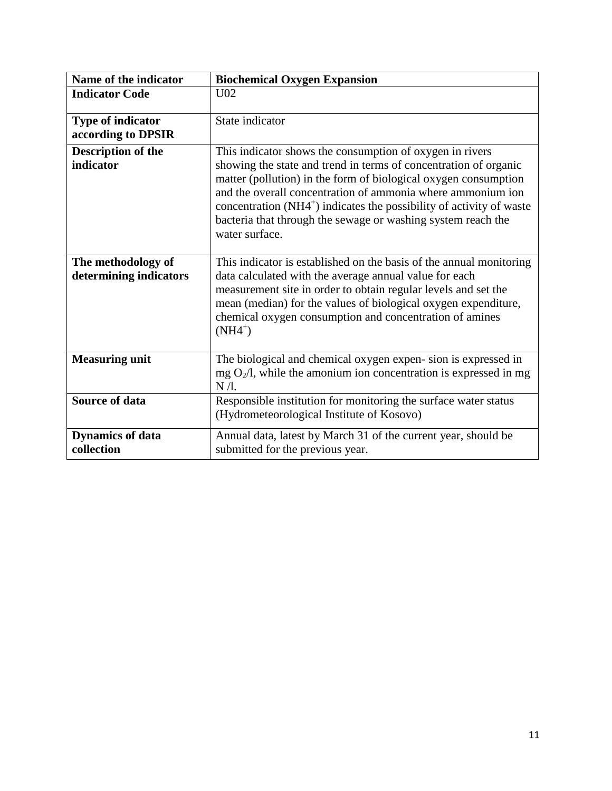| Name of the indicator                          | <b>Biochemical Oxygen Expansion</b>                                                                                                                                                                                                                                                                                                                                                                                        |
|------------------------------------------------|----------------------------------------------------------------------------------------------------------------------------------------------------------------------------------------------------------------------------------------------------------------------------------------------------------------------------------------------------------------------------------------------------------------------------|
| <b>Indicator Code</b>                          | U <sub>02</sub>                                                                                                                                                                                                                                                                                                                                                                                                            |
| <b>Type of indicator</b><br>according to DPSIR | State indicator                                                                                                                                                                                                                                                                                                                                                                                                            |
| <b>Description of the</b><br>indicator         | This indicator shows the consumption of oxygen in rivers<br>showing the state and trend in terms of concentration of organic<br>matter (pollution) in the form of biological oxygen consumption<br>and the overall concentration of ammonia where ammonium ion<br>concentration $(NH4^+)$ indicates the possibility of activity of waste<br>bacteria that through the sewage or washing system reach the<br>water surface. |
| The methodology of<br>determining indicators   | This indicator is established on the basis of the annual monitoring<br>data calculated with the average annual value for each<br>measurement site in order to obtain regular levels and set the<br>mean (median) for the values of biological oxygen expenditure,<br>chemical oxygen consumption and concentration of amines<br>$(NH4^+)$                                                                                  |
| <b>Measuring unit</b>                          | The biological and chemical oxygen expen-sion is expressed in<br>$mg O2/l$ , while the amonium ion concentration is expressed in mg<br>$N/l$ .                                                                                                                                                                                                                                                                             |
| <b>Source of data</b>                          | Responsible institution for monitoring the surface water status<br>(Hydrometeorological Institute of Kosovo)                                                                                                                                                                                                                                                                                                               |
| <b>Dynamics of data</b><br>collection          | Annual data, latest by March 31 of the current year, should be<br>submitted for the previous year.                                                                                                                                                                                                                                                                                                                         |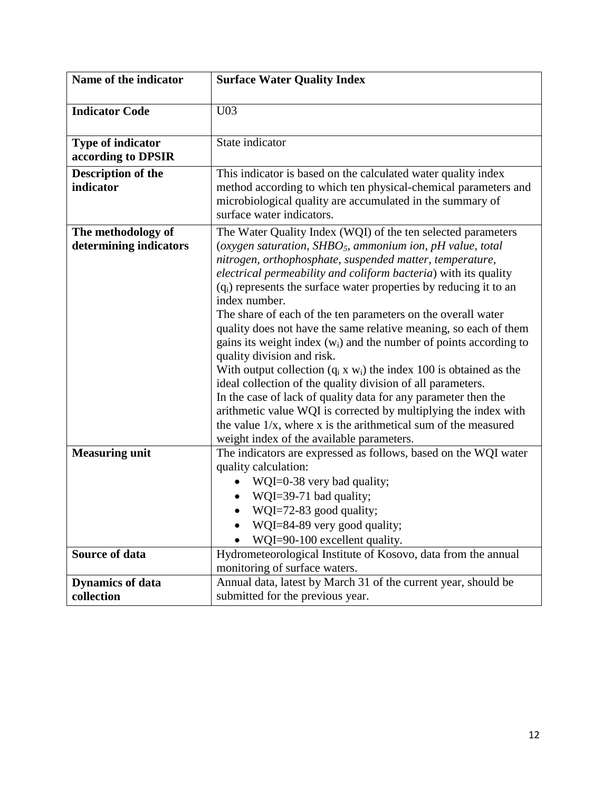| Name of the indicator     | <b>Surface Water Quality Index</b>                                                                  |
|---------------------------|-----------------------------------------------------------------------------------------------------|
|                           |                                                                                                     |
| <b>Indicator Code</b>     | U <sub>03</sub>                                                                                     |
|                           |                                                                                                     |
| <b>Type of indicator</b>  | State indicator                                                                                     |
| according to DPSIR        |                                                                                                     |
| <b>Description of the</b> | This indicator is based on the calculated water quality index                                       |
| indicator                 | method according to which ten physical-chemical parameters and                                      |
|                           | microbiological quality are accumulated in the summary of                                           |
|                           | surface water indicators.                                                                           |
| The methodology of        | The Water Quality Index (WQI) of the ten selected parameters                                        |
| determining indicators    | (oxygen saturation, SHBO <sub>5</sub> , ammonium ion, pH value, total                               |
|                           | nitrogen, orthophosphate, suspended matter, temperature,                                            |
|                           | electrical permeability and coliform bacteria) with its quality                                     |
|                           | (q <sub>i</sub> ) represents the surface water properties by reducing it to an                      |
|                           | index number.                                                                                       |
|                           | The share of each of the ten parameters on the overall water                                        |
|                           | quality does not have the same relative meaning, so each of them                                    |
|                           | gains its weight index $(w_i)$ and the number of points according to                                |
|                           | quality division and risk.<br>With output collection $(q_i x w_i)$ the index 100 is obtained as the |
|                           | ideal collection of the quality division of all parameters.                                         |
|                           | In the case of lack of quality data for any parameter then the                                      |
|                           | arithmetic value WQI is corrected by multiplying the index with                                     |
|                           | the value $1/x$ , where x is the arithmetical sum of the measured                                   |
|                           | weight index of the available parameters.                                                           |
| <b>Measuring unit</b>     | The indicators are expressed as follows, based on the WQI water                                     |
|                           | quality calculation:                                                                                |
|                           | WQI=0-38 very bad quality;                                                                          |
|                           | WQI=39-71 bad quality;                                                                              |
|                           | WQI=72-83 good quality;                                                                             |
|                           | WQI=84-89 very good quality;                                                                        |
|                           | WQI=90-100 excellent quality.                                                                       |
| <b>Source of data</b>     | Hydrometeorological Institute of Kosovo, data from the annual                                       |
|                           | monitoring of surface waters.                                                                       |
| <b>Dynamics of data</b>   | Annual data, latest by March 31 of the current year, should be                                      |
| collection                | submitted for the previous year.                                                                    |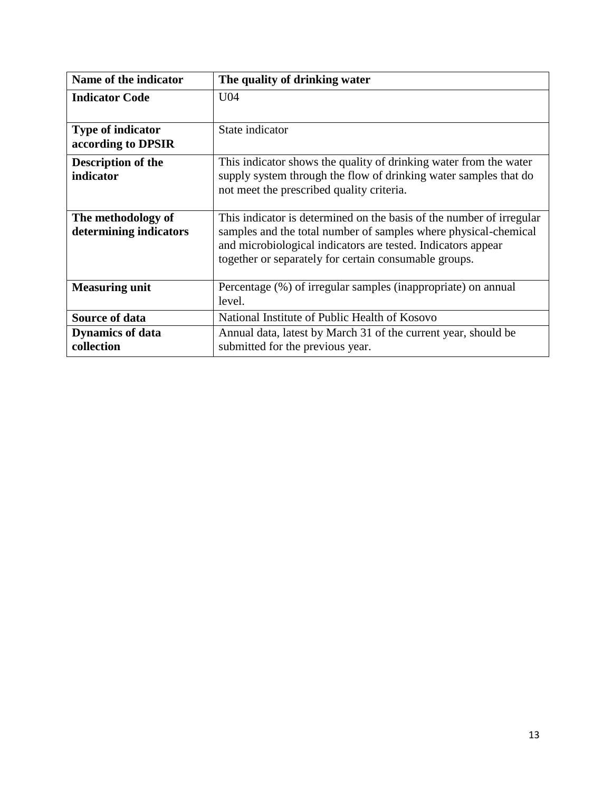| Name of the indicator                          | The quality of drinking water                                                                                                                                                                                                                                    |
|------------------------------------------------|------------------------------------------------------------------------------------------------------------------------------------------------------------------------------------------------------------------------------------------------------------------|
| <b>Indicator Code</b>                          | U04                                                                                                                                                                                                                                                              |
| <b>Type of indicator</b><br>according to DPSIR | State indicator                                                                                                                                                                                                                                                  |
| Description of the<br>indicator                | This indicator shows the quality of drinking water from the water<br>supply system through the flow of drinking water samples that do<br>not meet the prescribed quality criteria.                                                                               |
| The methodology of<br>determining indicators   | This indicator is determined on the basis of the number of irregular<br>samples and the total number of samples where physical-chemical<br>and microbiological indicators are tested. Indicators appear<br>together or separately for certain consumable groups. |
| <b>Measuring unit</b>                          | Percentage (%) of irregular samples (inappropriate) on annual<br>level.                                                                                                                                                                                          |
| <b>Source of data</b>                          | National Institute of Public Health of Kosovo                                                                                                                                                                                                                    |
| <b>Dynamics of data</b><br>collection          | Annual data, latest by March 31 of the current year, should be<br>submitted for the previous year.                                                                                                                                                               |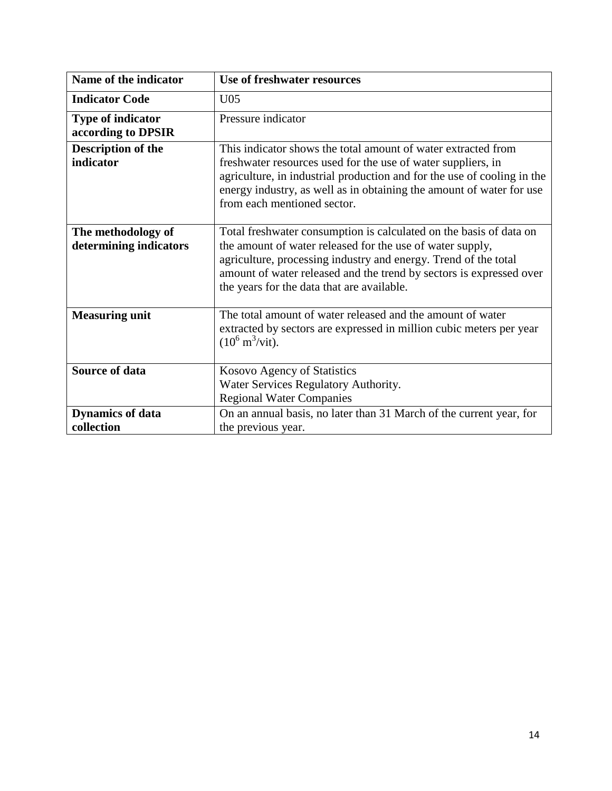| Name of the indicator    | <b>Use of freshwater resources</b>                                                                                                                                             |
|--------------------------|--------------------------------------------------------------------------------------------------------------------------------------------------------------------------------|
| <b>Indicator Code</b>    | U <sub>05</sub>                                                                                                                                                                |
| <b>Type of indicator</b> | Pressure indicator                                                                                                                                                             |
| according to DPSIR       |                                                                                                                                                                                |
| Description of the       | This indicator shows the total amount of water extracted from                                                                                                                  |
| indicator                | freshwater resources used for the use of water suppliers, in                                                                                                                   |
|                          | agriculture, in industrial production and for the use of cooling in the<br>energy industry, as well as in obtaining the amount of water for use<br>from each mentioned sector. |
| The methodology of       | Total freshwater consumption is calculated on the basis of data on                                                                                                             |
| determining indicators   | the amount of water released for the use of water supply,                                                                                                                      |
|                          | agriculture, processing industry and energy. Trend of the total                                                                                                                |
|                          | amount of water released and the trend by sectors is expressed over                                                                                                            |
|                          | the years for the data that are available.                                                                                                                                     |
| <b>Measuring unit</b>    | The total amount of water released and the amount of water                                                                                                                     |
|                          | extracted by sectors are expressed in million cubic meters per year<br>$(10^6 \text{ m}^3/\text{vit}).$                                                                        |
| <b>Source of data</b>    | Kosovo Agency of Statistics                                                                                                                                                    |
|                          | Water Services Regulatory Authority.                                                                                                                                           |
|                          | <b>Regional Water Companies</b>                                                                                                                                                |
| <b>Dynamics of data</b>  | On an annual basis, no later than 31 March of the current year, for                                                                                                            |
| collection               | the previous year.                                                                                                                                                             |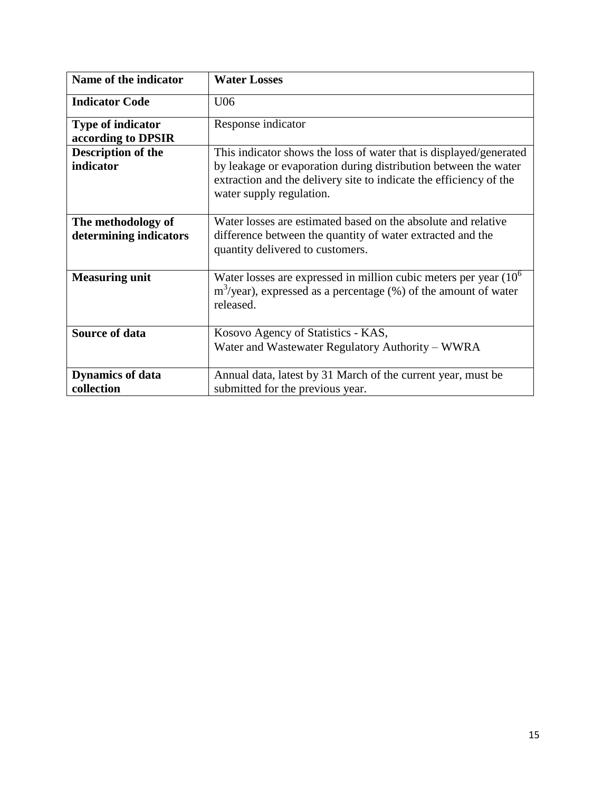| Name of the indicator                          | <b>Water Losses</b>                                                                                                                                                                                                                     |
|------------------------------------------------|-----------------------------------------------------------------------------------------------------------------------------------------------------------------------------------------------------------------------------------------|
| <b>Indicator Code</b>                          | U06                                                                                                                                                                                                                                     |
| <b>Type of indicator</b><br>according to DPSIR | Response indicator                                                                                                                                                                                                                      |
| <b>Description of the</b><br>indicator         | This indicator shows the loss of water that is displayed/generated<br>by leakage or evaporation during distribution between the water<br>extraction and the delivery site to indicate the efficiency of the<br>water supply regulation. |
| The methodology of<br>determining indicators   | Water losses are estimated based on the absolute and relative<br>difference between the quantity of water extracted and the<br>quantity delivered to customers.                                                                         |
| <b>Measuring unit</b>                          | Water losses are expressed in million cubic meters per year $(106)$<br>$m3/year$ ), expressed as a percentage (%) of the amount of water<br>released.                                                                                   |
| <b>Source of data</b>                          | Kosovo Agency of Statistics - KAS,<br>Water and Wastewater Regulatory Authority – WWRA                                                                                                                                                  |
| <b>Dynamics of data</b><br>collection          | Annual data, latest by 31 March of the current year, must be<br>submitted for the previous year.                                                                                                                                        |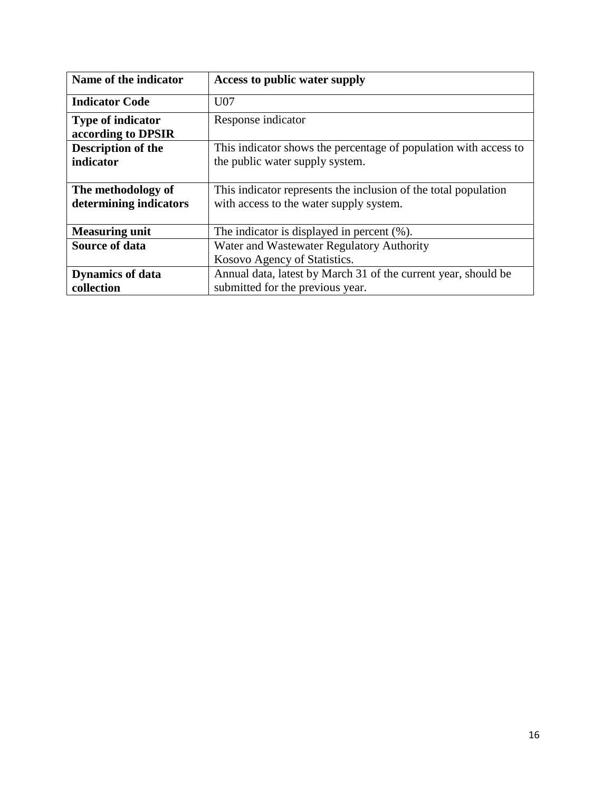| Name of the indicator                          | <b>Access to public water supply</b>                             |
|------------------------------------------------|------------------------------------------------------------------|
| <b>Indicator Code</b>                          | U <sub>07</sub>                                                  |
| <b>Type of indicator</b><br>according to DPSIR | Response indicator                                               |
| <b>Description of the</b>                      | This indicator shows the percentage of population with access to |
| indicator                                      | the public water supply system.                                  |
|                                                |                                                                  |
| The methodology of                             | This indicator represents the inclusion of the total population  |
| determining indicators                         | with access to the water supply system.                          |
|                                                |                                                                  |
| <b>Measuring unit</b>                          | The indicator is displayed in percent $(\%).$                    |
| <b>Source of data</b>                          | Water and Wastewater Regulatory Authority                        |
|                                                | Kosovo Agency of Statistics.                                     |
| <b>Dynamics of data</b>                        | Annual data, latest by March 31 of the current year, should be   |
| collection                                     | submitted for the previous year.                                 |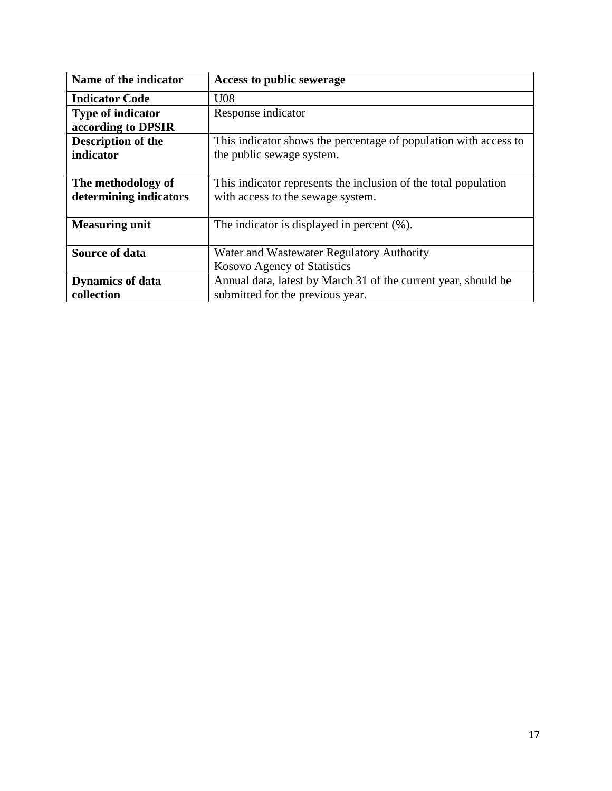| Name of the indicator     | Access to public sewerage                                        |
|---------------------------|------------------------------------------------------------------|
| <b>Indicator Code</b>     | U08                                                              |
| <b>Type of indicator</b>  | Response indicator                                               |
| according to DPSIR        |                                                                  |
| <b>Description of the</b> | This indicator shows the percentage of population with access to |
| indicator                 | the public sewage system.                                        |
|                           |                                                                  |
| The methodology of        | This indicator represents the inclusion of the total population  |
| determining indicators    | with access to the sewage system.                                |
|                           |                                                                  |
| <b>Measuring unit</b>     | The indicator is displayed in percent $(\%).$                    |
|                           |                                                                  |
| <b>Source of data</b>     | Water and Wastewater Regulatory Authority                        |
|                           | Kosovo Agency of Statistics                                      |
| <b>Dynamics of data</b>   | Annual data, latest by March 31 of the current year, should be   |
| collection                | submitted for the previous year.                                 |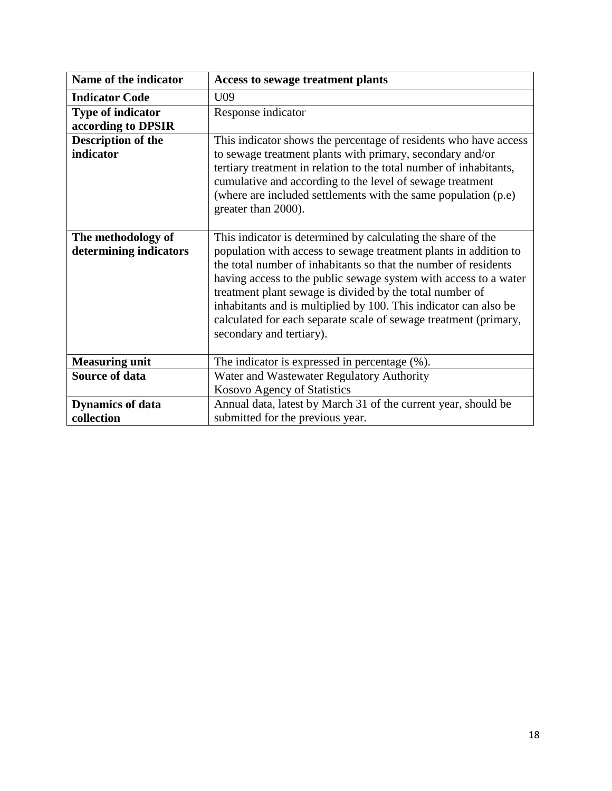| Name of the indicator    | <b>Access to sewage treatment plants</b>                                                     |
|--------------------------|----------------------------------------------------------------------------------------------|
| <b>Indicator Code</b>    | U09                                                                                          |
| <b>Type of indicator</b> | Response indicator                                                                           |
| according to DPSIR       |                                                                                              |
| Description of the       | This indicator shows the percentage of residents who have access                             |
| indicator                | to sewage treatment plants with primary, secondary and/or                                    |
|                          | tertiary treatment in relation to the total number of inhabitants,                           |
|                          | cumulative and according to the level of sewage treatment                                    |
|                          | (where are included settlements with the same population (p.e)                               |
|                          | greater than 2000).                                                                          |
|                          |                                                                                              |
| The methodology of       | This indicator is determined by calculating the share of the                                 |
| determining indicators   | population with access to sewage treatment plants in addition to                             |
|                          | the total number of inhabitants so that the number of residents                              |
|                          | having access to the public sewage system with access to a water                             |
|                          | treatment plant sewage is divided by the total number of                                     |
|                          | inhabitants and is multiplied by 100. This indicator can also be                             |
|                          | calculated for each separate scale of sewage treatment (primary,<br>secondary and tertiary). |
|                          |                                                                                              |
| <b>Measuring unit</b>    | The indicator is expressed in percentage (%).                                                |
| <b>Source of data</b>    | Water and Wastewater Regulatory Authority                                                    |
|                          | Kosovo Agency of Statistics                                                                  |
| <b>Dynamics of data</b>  | Annual data, latest by March 31 of the current year, should be                               |
| collection               | submitted for the previous year.                                                             |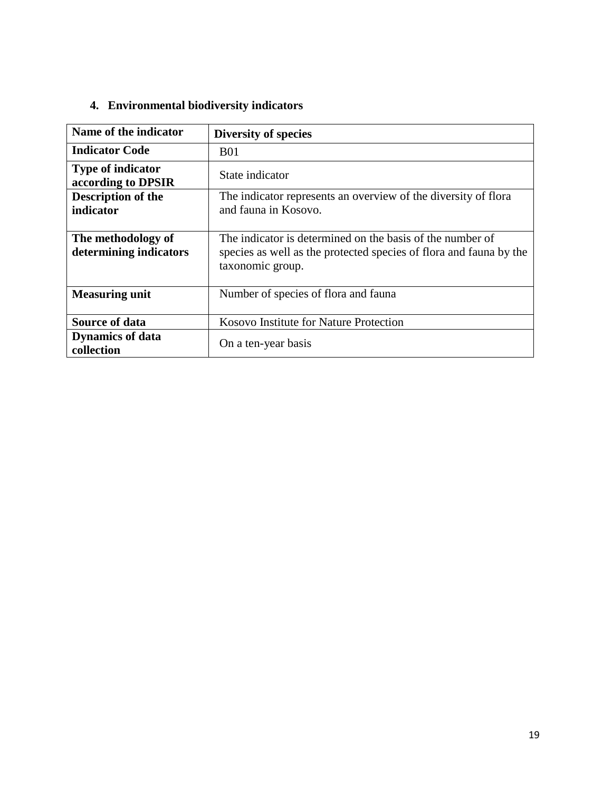## **4. Environmental biodiversity indicators**

| Name of the indicator                          | <b>Diversity of species</b>                                                                                                                         |
|------------------------------------------------|-----------------------------------------------------------------------------------------------------------------------------------------------------|
| <b>Indicator Code</b>                          | <b>B01</b>                                                                                                                                          |
| <b>Type of indicator</b><br>according to DPSIR | State indicator                                                                                                                                     |
| <b>Description of the</b><br>indicator         | The indicator represents an overview of the diversity of flora<br>and fauna in Kosovo.                                                              |
| The methodology of<br>determining indicators   | The indicator is determined on the basis of the number of<br>species as well as the protected species of flora and fauna by the<br>taxonomic group. |
| <b>Measuring unit</b>                          | Number of species of flora and fauna                                                                                                                |
| <b>Source of data</b>                          | Kosovo Institute for Nature Protection                                                                                                              |
| <b>Dynamics of data</b><br>collection          | On a ten-year basis                                                                                                                                 |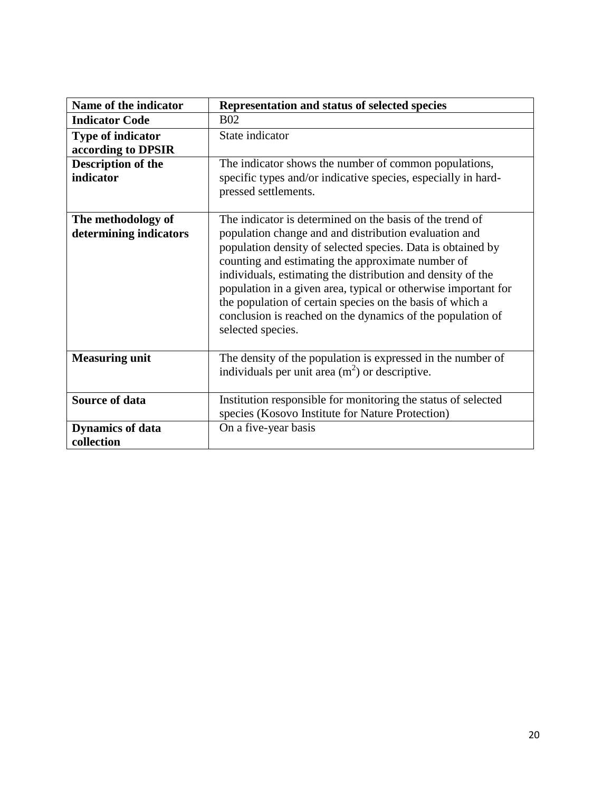| Name of the indicator                        | Representation and status of selected species                                                                                                                                                                                                                                                                                                                                                                                                                                                                          |
|----------------------------------------------|------------------------------------------------------------------------------------------------------------------------------------------------------------------------------------------------------------------------------------------------------------------------------------------------------------------------------------------------------------------------------------------------------------------------------------------------------------------------------------------------------------------------|
| <b>Indicator Code</b>                        | <b>B02</b>                                                                                                                                                                                                                                                                                                                                                                                                                                                                                                             |
| <b>Type of indicator</b>                     | State indicator                                                                                                                                                                                                                                                                                                                                                                                                                                                                                                        |
| according to DPSIR                           |                                                                                                                                                                                                                                                                                                                                                                                                                                                                                                                        |
| <b>Description of the</b>                    | The indicator shows the number of common populations,                                                                                                                                                                                                                                                                                                                                                                                                                                                                  |
| indicator                                    | specific types and/or indicative species, especially in hard-<br>pressed settlements.                                                                                                                                                                                                                                                                                                                                                                                                                                  |
| The methodology of<br>determining indicators | The indicator is determined on the basis of the trend of<br>population change and and distribution evaluation and<br>population density of selected species. Data is obtained by<br>counting and estimating the approximate number of<br>individuals, estimating the distribution and density of the<br>population in a given area, typical or otherwise important for<br>the population of certain species on the basis of which a<br>conclusion is reached on the dynamics of the population of<br>selected species. |
| <b>Measuring unit</b>                        | The density of the population is expressed in the number of<br>individuals per unit area $(m2)$ or descriptive.                                                                                                                                                                                                                                                                                                                                                                                                        |
| <b>Source of data</b>                        | Institution responsible for monitoring the status of selected                                                                                                                                                                                                                                                                                                                                                                                                                                                          |
|                                              | species (Kosovo Institute for Nature Protection)                                                                                                                                                                                                                                                                                                                                                                                                                                                                       |
| <b>Dynamics of data</b>                      | On a five-year basis                                                                                                                                                                                                                                                                                                                                                                                                                                                                                                   |
| collection                                   |                                                                                                                                                                                                                                                                                                                                                                                                                                                                                                                        |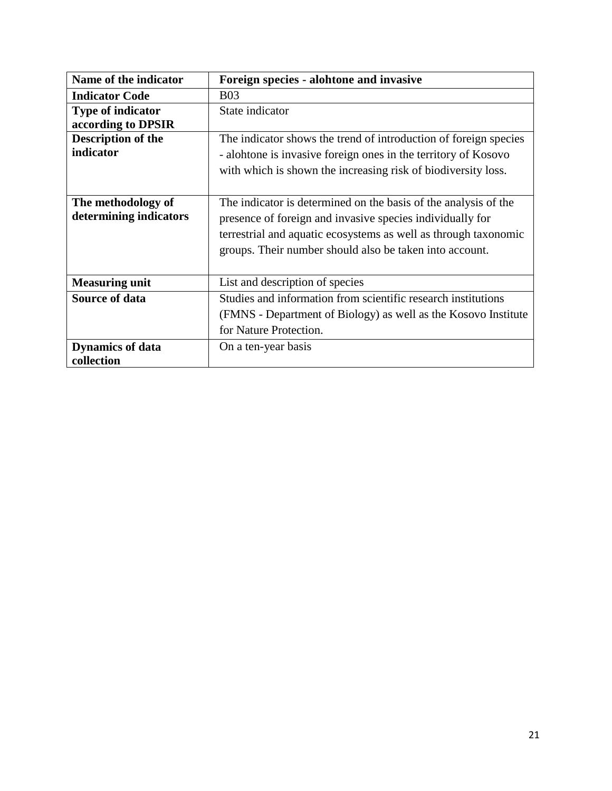| Name of the indicator    | Foreign species - alohtone and invasive                          |
|--------------------------|------------------------------------------------------------------|
| <b>Indicator Code</b>    | <b>B03</b>                                                       |
| <b>Type of indicator</b> | State indicator                                                  |
| according to DPSIR       |                                                                  |
| Description of the       | The indicator shows the trend of introduction of foreign species |
| indicator                | - alohtone is invasive foreign ones in the territory of Kosovo   |
|                          | with which is shown the increasing risk of biodiversity loss.    |
|                          |                                                                  |
| The methodology of       | The indicator is determined on the basis of the analysis of the  |
| determining indicators   | presence of foreign and invasive species individually for        |
|                          | terrestrial and aquatic ecosystems as well as through taxonomic  |
|                          | groups. Their number should also be taken into account.          |
|                          |                                                                  |
| <b>Measuring unit</b>    | List and description of species                                  |
| <b>Source of data</b>    | Studies and information from scientific research institutions    |
|                          | (FMNS - Department of Biology) as well as the Kosovo Institute   |
|                          | for Nature Protection.                                           |
| <b>Dynamics of data</b>  | On a ten-year basis                                              |
| collection               |                                                                  |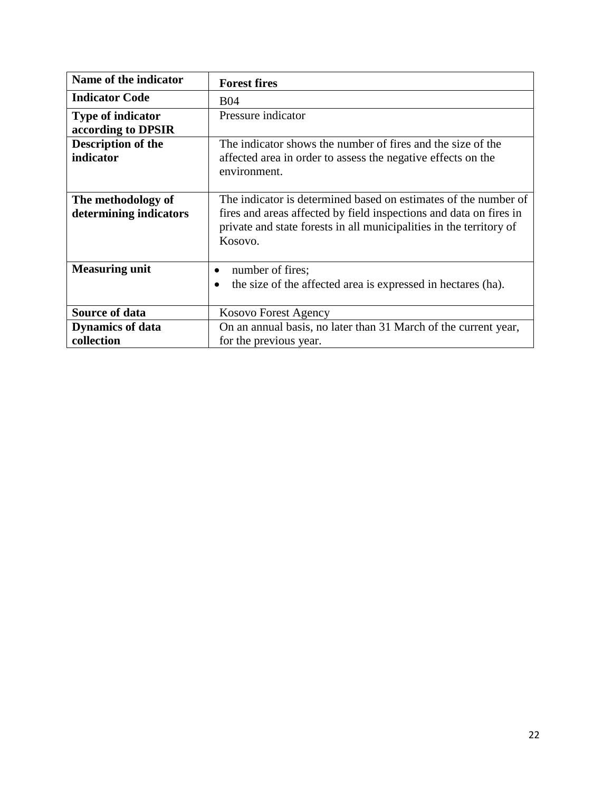| <b>Forest fires</b>                                                 |
|---------------------------------------------------------------------|
| <b>B04</b>                                                          |
| Pressure indicator                                                  |
|                                                                     |
| The indicator shows the number of fires and the size of the         |
| affected area in order to assess the negative effects on the        |
| environment.                                                        |
|                                                                     |
| The indicator is determined based on estimates of the number of     |
| fires and areas affected by field inspections and data on fires in  |
|                                                                     |
| private and state forests in all municipalities in the territory of |
| Kosovo.                                                             |
|                                                                     |
| number of fires;                                                    |
| the size of the affected area is expressed in hectares (ha).<br>٠   |
|                                                                     |
| Kosovo Forest Agency                                                |
| On an annual basis, no later than 31 March of the current year,     |
| for the previous year.                                              |
|                                                                     |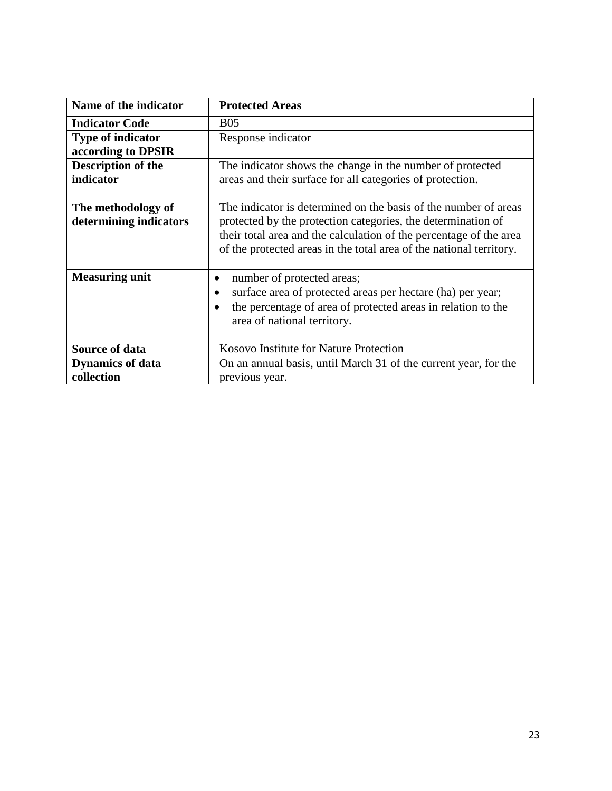| Name of the indicator    | <b>Protected Areas</b>                                              |
|--------------------------|---------------------------------------------------------------------|
| <b>Indicator Code</b>    | <b>B05</b>                                                          |
| <b>Type of indicator</b> | Response indicator                                                  |
| according to DPSIR       |                                                                     |
| Description of the       | The indicator shows the change in the number of protected           |
| indicator                | areas and their surface for all categories of protection.           |
|                          |                                                                     |
| The methodology of       | The indicator is determined on the basis of the number of areas     |
| determining indicators   | protected by the protection categories, the determination of        |
|                          | their total area and the calculation of the percentage of the area  |
|                          | of the protected areas in the total area of the national territory. |
|                          |                                                                     |
| <b>Measuring unit</b>    | number of protected areas;                                          |
|                          | surface area of protected areas per hectare (ha) per year;          |
|                          | the percentage of area of protected areas in relation to the        |
|                          | area of national territory.                                         |
|                          |                                                                     |
| <b>Source of data</b>    | <b>Kosovo Institute for Nature Protection</b>                       |
| <b>Dynamics of data</b>  | On an annual basis, until March 31 of the current year, for the     |
| collection               | previous year.                                                      |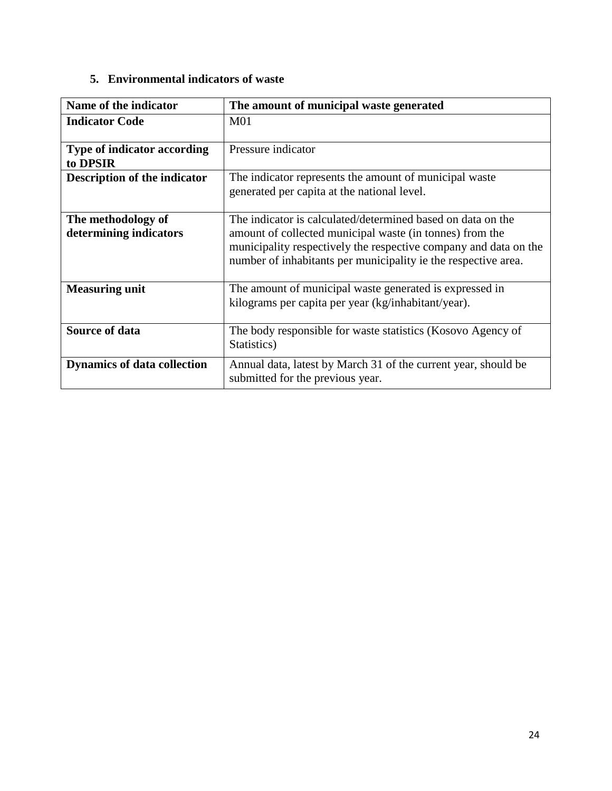### **5. Environmental indicators of waste**

| Name of the indicator                          | The amount of municipal waste generated                                                                                                                                                                                                                       |
|------------------------------------------------|---------------------------------------------------------------------------------------------------------------------------------------------------------------------------------------------------------------------------------------------------------------|
| <b>Indicator Code</b>                          | M <sub>01</sub>                                                                                                                                                                                                                                               |
| <b>Type of indicator according</b><br>to DPSIR | Pressure indicator                                                                                                                                                                                                                                            |
| <b>Description of the indicator</b>            | The indicator represents the amount of municipal waste<br>generated per capita at the national level.                                                                                                                                                         |
| The methodology of<br>determining indicators   | The indicator is calculated/determined based on data on the<br>amount of collected municipal waste (in tonnes) from the<br>municipality respectively the respective company and data on the<br>number of inhabitants per municipality ie the respective area. |
| <b>Measuring unit</b>                          | The amount of municipal waste generated is expressed in<br>kilograms per capita per year (kg/inhabitant/year).                                                                                                                                                |
| <b>Source of data</b>                          | The body responsible for waste statistics (Kosovo Agency of<br>Statistics)                                                                                                                                                                                    |
| <b>Dynamics of data collection</b>             | Annual data, latest by March 31 of the current year, should be<br>submitted for the previous year.                                                                                                                                                            |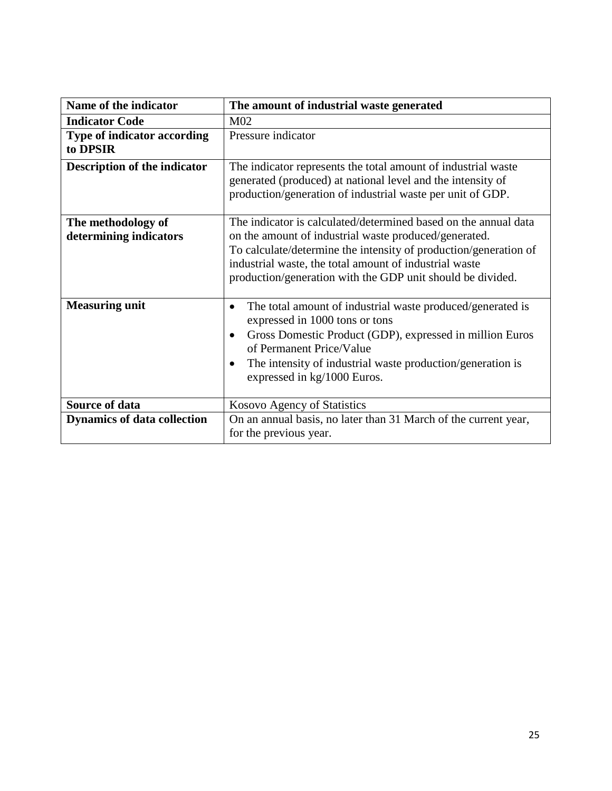| Name of the indicator                        | The amount of industrial waste generated                                                                                                                                                                                                                                                                                 |
|----------------------------------------------|--------------------------------------------------------------------------------------------------------------------------------------------------------------------------------------------------------------------------------------------------------------------------------------------------------------------------|
| <b>Indicator Code</b>                        | M <sub>02</sub>                                                                                                                                                                                                                                                                                                          |
| Type of indicator according<br>to DPSIR      | Pressure indicator                                                                                                                                                                                                                                                                                                       |
| <b>Description of the indicator</b>          | The indicator represents the total amount of industrial waste<br>generated (produced) at national level and the intensity of<br>production/generation of industrial waste per unit of GDP.                                                                                                                               |
| The methodology of<br>determining indicators | The indicator is calculated/determined based on the annual data<br>on the amount of industrial waste produced/generated.<br>To calculate/determine the intensity of production/generation of<br>industrial waste, the total amount of industrial waste<br>production/generation with the GDP unit should be divided.     |
| <b>Measuring unit</b>                        | The total amount of industrial waste produced/generated is<br>$\bullet$<br>expressed in 1000 tons or tons<br>Gross Domestic Product (GDP), expressed in million Euros<br>$\bullet$<br>of Permanent Price/Value<br>The intensity of industrial waste production/generation is<br>$\bullet$<br>expressed in kg/1000 Euros. |
| <b>Source of data</b>                        | Kosovo Agency of Statistics                                                                                                                                                                                                                                                                                              |
| <b>Dynamics of data collection</b>           | On an annual basis, no later than 31 March of the current year,<br>for the previous year.                                                                                                                                                                                                                                |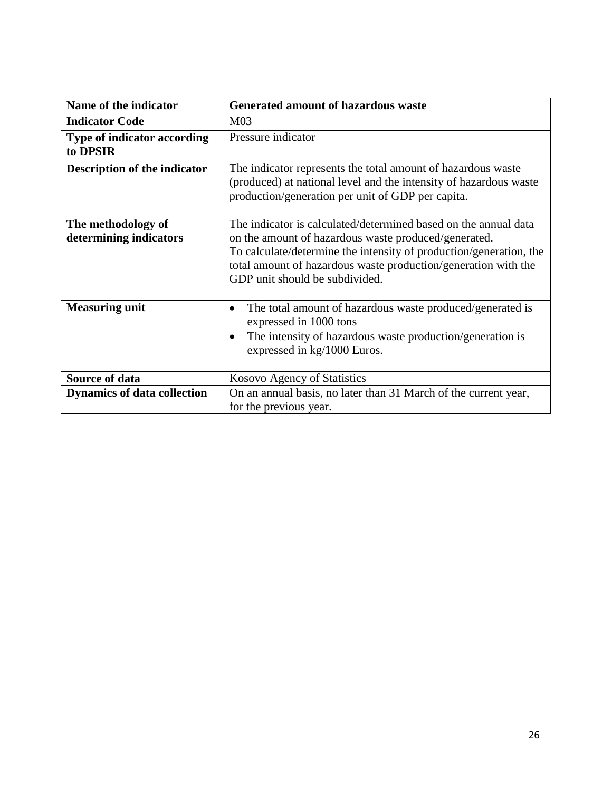| Name of the indicator                        | Generated amount of hazardous waste                                                                                                                                                                                                                                                               |
|----------------------------------------------|---------------------------------------------------------------------------------------------------------------------------------------------------------------------------------------------------------------------------------------------------------------------------------------------------|
| <b>Indicator Code</b>                        | M <sub>03</sub>                                                                                                                                                                                                                                                                                   |
| Type of indicator according<br>to DPSIR      | Pressure indicator                                                                                                                                                                                                                                                                                |
| <b>Description of the indicator</b>          | The indicator represents the total amount of hazardous waste<br>(produced) at national level and the intensity of hazardous waste<br>production/generation per unit of GDP per capita.                                                                                                            |
| The methodology of<br>determining indicators | The indicator is calculated/determined based on the annual data<br>on the amount of hazardous waste produced/generated.<br>To calculate/determine the intensity of production/generation, the<br>total amount of hazardous waste production/generation with the<br>GDP unit should be subdivided. |
| <b>Measuring unit</b>                        | The total amount of hazardous waste produced/generated is<br>expressed in 1000 tons<br>The intensity of hazardous waste production/generation is<br>٠<br>expressed in kg/1000 Euros.                                                                                                              |
| <b>Source of data</b>                        | Kosovo Agency of Statistics                                                                                                                                                                                                                                                                       |
| <b>Dynamics of data collection</b>           | On an annual basis, no later than 31 March of the current year,<br>for the previous year.                                                                                                                                                                                                         |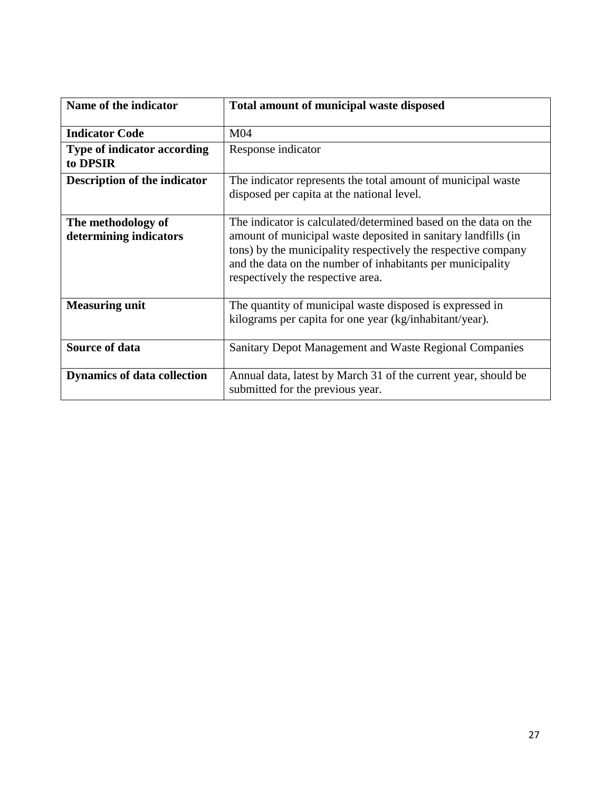| Name of the indicator                          | Total amount of municipal waste disposed                                                                                                                                                                                                                                                             |
|------------------------------------------------|------------------------------------------------------------------------------------------------------------------------------------------------------------------------------------------------------------------------------------------------------------------------------------------------------|
| <b>Indicator Code</b>                          | M <sub>04</sub>                                                                                                                                                                                                                                                                                      |
| <b>Type of indicator according</b><br>to DPSIR | Response indicator                                                                                                                                                                                                                                                                                   |
| <b>Description of the indicator</b>            | The indicator represents the total amount of municipal waste<br>disposed per capita at the national level.                                                                                                                                                                                           |
| The methodology of<br>determining indicators   | The indicator is calculated/determined based on the data on the<br>amount of municipal waste deposited in sanitary landfills (in<br>tons) by the municipality respectively the respective company<br>and the data on the number of inhabitants per municipality<br>respectively the respective area. |
| <b>Measuring unit</b>                          | The quantity of municipal waste disposed is expressed in<br>kilograms per capita for one year (kg/inhabitant/year).                                                                                                                                                                                  |
| <b>Source of data</b>                          | Sanitary Depot Management and Waste Regional Companies                                                                                                                                                                                                                                               |
| <b>Dynamics of data collection</b>             | Annual data, latest by March 31 of the current year, should be<br>submitted for the previous year.                                                                                                                                                                                                   |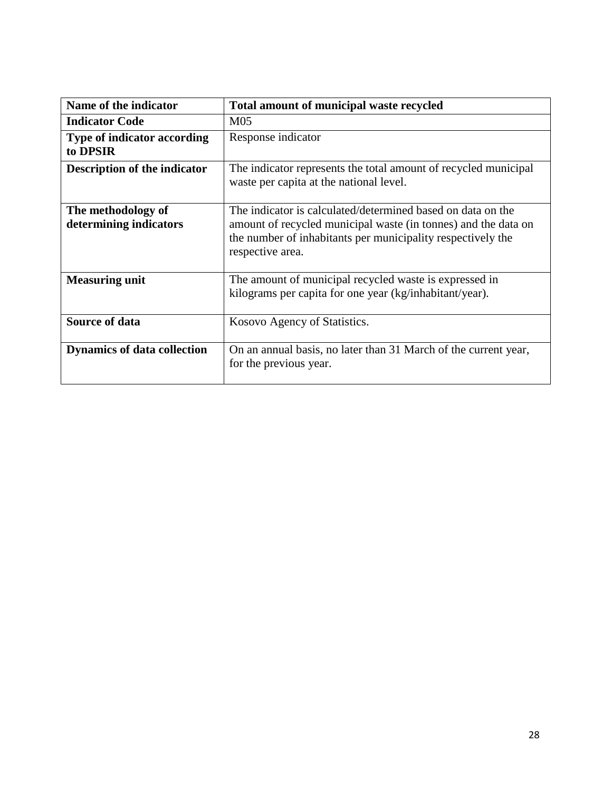| Name of the indicator                          | Total amount of municipal waste recycled                                                                                                                                                                         |
|------------------------------------------------|------------------------------------------------------------------------------------------------------------------------------------------------------------------------------------------------------------------|
| <b>Indicator Code</b>                          | M <sub>05</sub>                                                                                                                                                                                                  |
| <b>Type of indicator according</b><br>to DPSIR | Response indicator                                                                                                                                                                                               |
| <b>Description of the indicator</b>            | The indicator represents the total amount of recycled municipal<br>waste per capita at the national level.                                                                                                       |
| The methodology of<br>determining indicators   | The indicator is calculated/determined based on data on the<br>amount of recycled municipal waste (in tonnes) and the data on<br>the number of inhabitants per municipality respectively the<br>respective area. |
| <b>Measuring unit</b>                          | The amount of municipal recycled waste is expressed in<br>kilograms per capita for one year (kg/inhabitant/year).                                                                                                |
| <b>Source of data</b>                          | Kosovo Agency of Statistics.                                                                                                                                                                                     |
| <b>Dynamics of data collection</b>             | On an annual basis, no later than 31 March of the current year,<br>for the previous year.                                                                                                                        |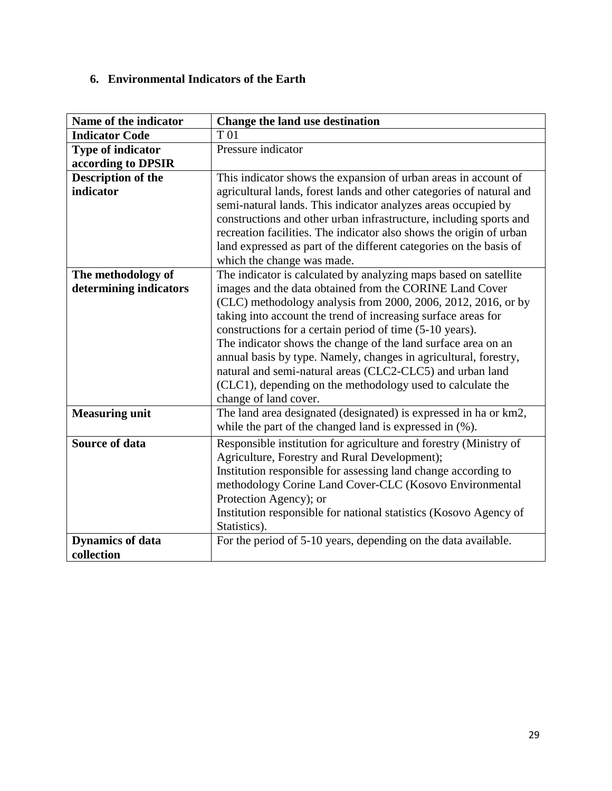### **6. Environmental Indicators of the Earth**

| Name of the indicator     | Change the land use destination                                      |
|---------------------------|----------------------------------------------------------------------|
| <b>Indicator Code</b>     | T 01                                                                 |
| <b>Type of indicator</b>  | Pressure indicator                                                   |
| according to DPSIR        |                                                                      |
| <b>Description of the</b> | This indicator shows the expansion of urban areas in account of      |
| indicator                 | agricultural lands, forest lands and other categories of natural and |
|                           | semi-natural lands. This indicator analyzes areas occupied by        |
|                           | constructions and other urban infrastructure, including sports and   |
|                           | recreation facilities. The indicator also shows the origin of urban  |
|                           | land expressed as part of the different categories on the basis of   |
|                           | which the change was made.                                           |
| The methodology of        | The indicator is calculated by analyzing maps based on satellite     |
| determining indicators    | images and the data obtained from the CORINE Land Cover              |
|                           | (CLC) methodology analysis from 2000, 2006, 2012, 2016, or by        |
|                           | taking into account the trend of increasing surface areas for        |
|                           | constructions for a certain period of time (5-10 years).             |
|                           | The indicator shows the change of the land surface area on an        |
|                           | annual basis by type. Namely, changes in agricultural, forestry,     |
|                           | natural and semi-natural areas (CLC2-CLC5) and urban land            |
|                           | (CLC1), depending on the methodology used to calculate the           |
|                           | change of land cover.                                                |
| <b>Measuring unit</b>     | The land area designated (designated) is expressed in ha or km2,     |
|                           | while the part of the changed land is expressed in $(\%)$ .          |
| <b>Source of data</b>     | Responsible institution for agriculture and forestry (Ministry of    |
|                           | Agriculture, Forestry and Rural Development);                        |
|                           | Institution responsible for assessing land change according to       |
|                           | methodology Corine Land Cover-CLC (Kosovo Environmental              |
|                           | Protection Agency); or                                               |
|                           | Institution responsible for national statistics (Kosovo Agency of    |
|                           | Statistics).                                                         |
| <b>Dynamics of data</b>   | For the period of 5-10 years, depending on the data available.       |
| collection                |                                                                      |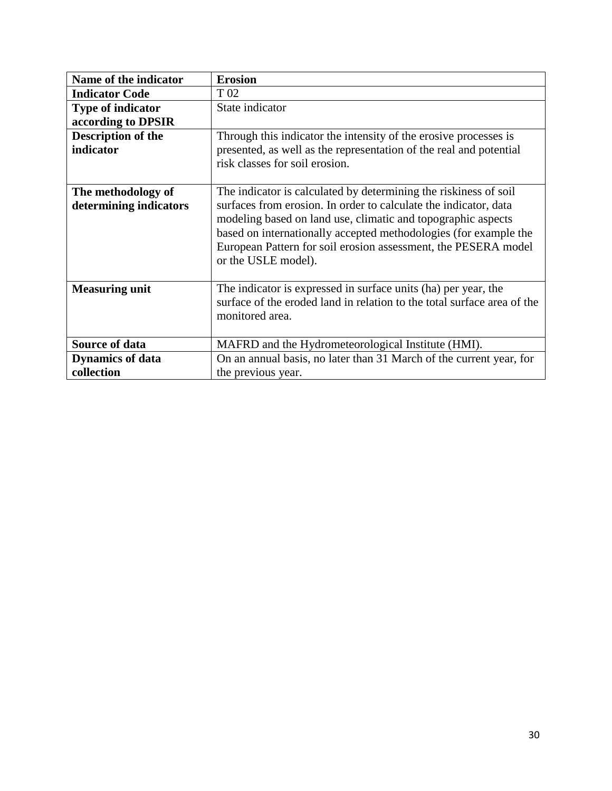| Name of the indicator     | <b>Erosion</b>                                                          |
|---------------------------|-------------------------------------------------------------------------|
| <b>Indicator Code</b>     | T <sub>02</sub>                                                         |
| <b>Type of indicator</b>  | State indicator                                                         |
| according to DPSIR        |                                                                         |
| <b>Description of the</b> | Through this indicator the intensity of the erosive processes is        |
| indicator                 | presented, as well as the representation of the real and potential      |
|                           | risk classes for soil erosion.                                          |
|                           |                                                                         |
| The methodology of        | The indicator is calculated by determining the riskiness of soil        |
| determining indicators    | surfaces from erosion. In order to calculate the indicator, data        |
|                           | modeling based on land use, climatic and topographic aspects            |
|                           | based on internationally accepted methodologies (for example the        |
|                           | European Pattern for soil erosion assessment, the PESERA model          |
|                           | or the USLE model).                                                     |
|                           |                                                                         |
| <b>Measuring unit</b>     | The indicator is expressed in surface units (ha) per year, the          |
|                           | surface of the eroded land in relation to the total surface area of the |
|                           | monitored area.                                                         |
|                           |                                                                         |
| Source of data            | MAFRD and the Hydrometeorological Institute (HMI).                      |
| <b>Dynamics of data</b>   | On an annual basis, no later than 31 March of the current year, for     |
| collection                | the previous year.                                                      |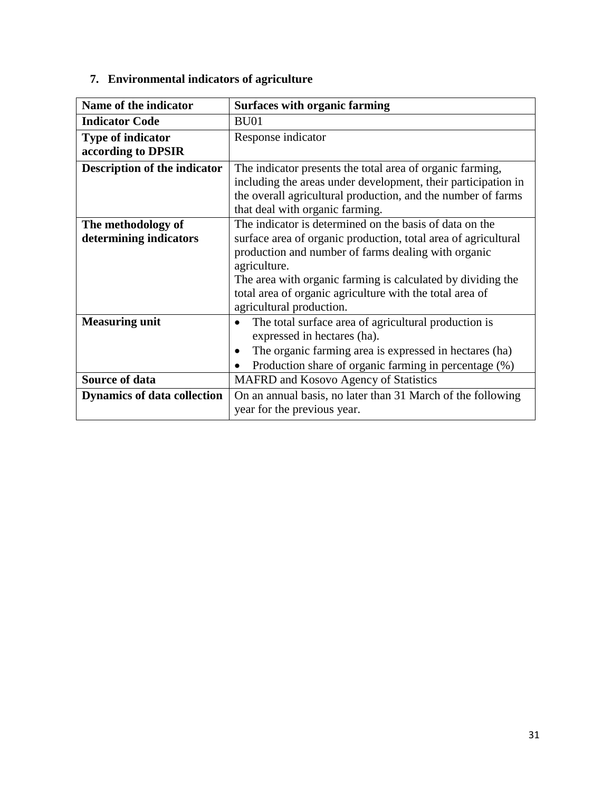| Name of the indicator               | <b>Surfaces with organic farming</b>                           |
|-------------------------------------|----------------------------------------------------------------|
| <b>Indicator Code</b>               | BU01                                                           |
| <b>Type of indicator</b>            | Response indicator                                             |
| according to DPSIR                  |                                                                |
| <b>Description of the indicator</b> | The indicator presents the total area of organic farming,      |
|                                     | including the areas under development, their participation in  |
|                                     | the overall agricultural production, and the number of farms   |
|                                     | that deal with organic farming.                                |
| The methodology of                  | The indicator is determined on the basis of data on the        |
| determining indicators              | surface area of organic production, total area of agricultural |
|                                     | production and number of farms dealing with organic            |
|                                     | agriculture.                                                   |
|                                     | The area with organic farming is calculated by dividing the    |
|                                     | total area of organic agriculture with the total area of       |
|                                     | agricultural production.                                       |
| <b>Measuring unit</b>               | The total surface area of agricultural production is           |
|                                     | expressed in hectares (ha).                                    |
|                                     | The organic farming area is expressed in hectares (ha)<br>٠    |
|                                     | Production share of organic farming in percentage (%)          |
| Source of data                      | MAFRD and Kosovo Agency of Statistics                          |
| <b>Dynamics of data collection</b>  | On an annual basis, no later than 31 March of the following    |
|                                     | year for the previous year.                                    |

## **7. Environmental indicators of agriculture**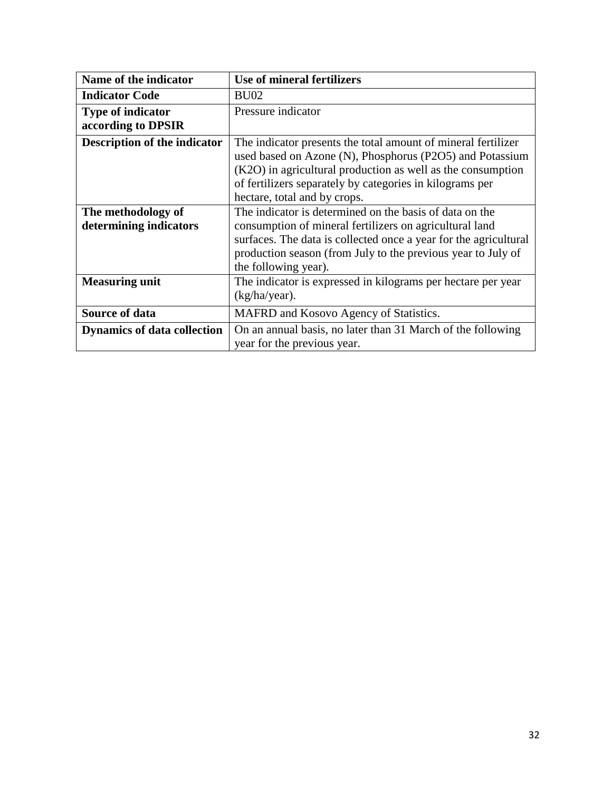| Name of the indicator                          | Use of mineral fertilizers                                                                                                                                                                                                                                                           |
|------------------------------------------------|--------------------------------------------------------------------------------------------------------------------------------------------------------------------------------------------------------------------------------------------------------------------------------------|
| <b>Indicator Code</b>                          | BU <sub>02</sub>                                                                                                                                                                                                                                                                     |
| <b>Type of indicator</b><br>according to DPSIR | Pressure indicator                                                                                                                                                                                                                                                                   |
| <b>Description of the indicator</b>            | The indicator presents the total amount of mineral fertilizer<br>used based on Azone (N), Phosphorus (P2O5) and Potassium<br>(K2O) in agricultural production as well as the consumption<br>of fertilizers separately by categories in kilograms per<br>hectare, total and by crops. |
| The methodology of<br>determining indicators   | The indicator is determined on the basis of data on the<br>consumption of mineral fertilizers on agricultural land<br>surfaces. The data is collected once a year for the agricultural<br>production season (from July to the previous year to July of<br>the following year).       |
| <b>Measuring unit</b>                          | The indicator is expressed in kilograms per hectare per year<br>$(kg/ha/year)$ .                                                                                                                                                                                                     |
| <b>Source of data</b>                          | MAFRD and Kosovo Agency of Statistics.                                                                                                                                                                                                                                               |
| <b>Dynamics of data collection</b>             | On an annual basis, no later than 31 March of the following<br>year for the previous year.                                                                                                                                                                                           |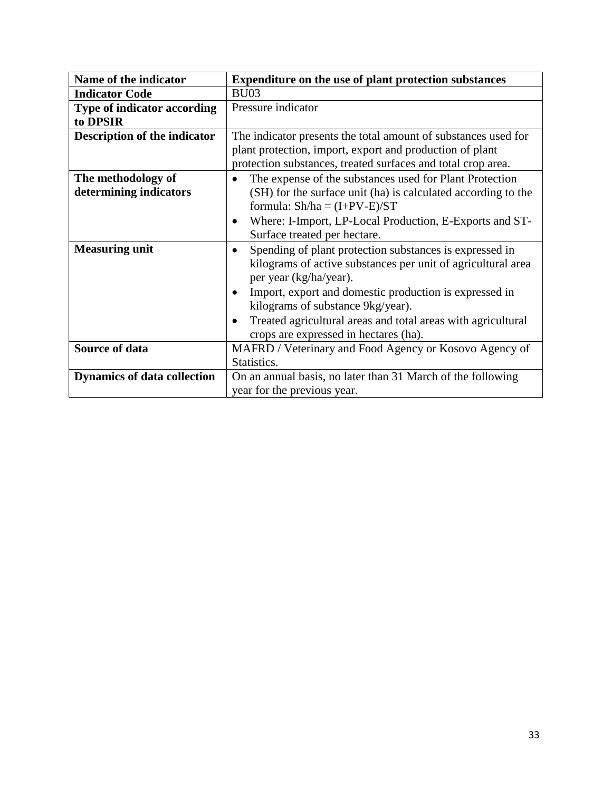| Name of the indicator               | Expenditure on the use of plant protection substances                     |
|-------------------------------------|---------------------------------------------------------------------------|
| <b>Indicator Code</b>               | <b>BU03</b>                                                               |
| <b>Type of indicator according</b>  | Pressure indicator                                                        |
| to DPSIR                            |                                                                           |
| <b>Description of the indicator</b> | The indicator presents the total amount of substances used for            |
|                                     | plant protection, import, export and production of plant                  |
|                                     | protection substances, treated surfaces and total crop area.              |
| The methodology of                  | The expense of the substances used for Plant Protection<br>$\bullet$      |
| determining indicators              | (SH) for the surface unit (ha) is calculated according to the             |
|                                     | formula: $Sh/ha = (I+PV-E)/ST$                                            |
|                                     | Where: I-Import, LP-Local Production, E-Exports and ST-<br>$\bullet$      |
|                                     | Surface treated per hectare.                                              |
| <b>Measuring unit</b>               | Spending of plant protection substances is expressed in                   |
|                                     | kilograms of active substances per unit of agricultural area              |
|                                     | per year (kg/ha/year).                                                    |
|                                     | Import, export and domestic production is expressed in<br>$\bullet$       |
|                                     | kilograms of substance 9kg/year).                                         |
|                                     | Treated agricultural areas and total areas with agricultural<br>$\bullet$ |
|                                     | crops are expressed in hectares (ha).                                     |
| <b>Source of data</b>               | MAFRD / Veterinary and Food Agency or Kosovo Agency of                    |
|                                     | Statistics.                                                               |
| <b>Dynamics of data collection</b>  | On an annual basis, no later than 31 March of the following               |
|                                     | year for the previous year.                                               |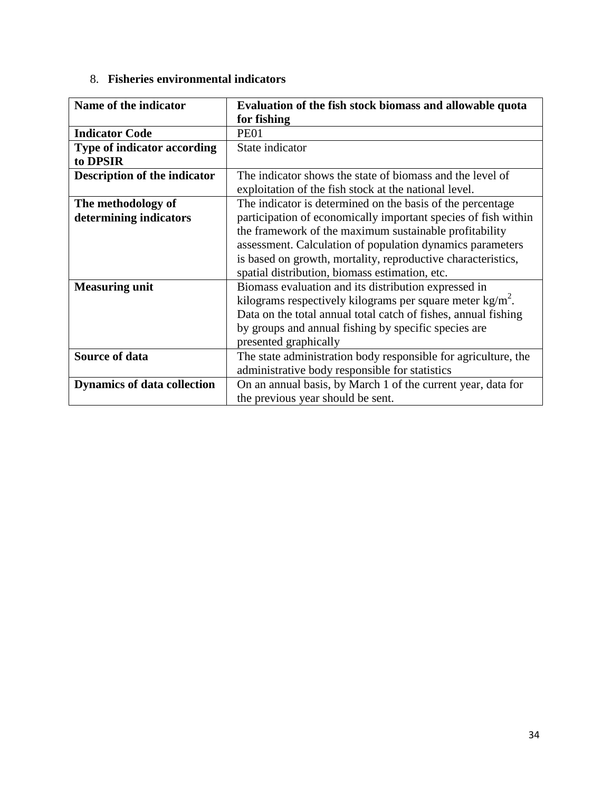### 8. **Fisheries environmental indicators**

| Name of the indicator               | Evaluation of the fish stock biomass and allowable quota       |
|-------------------------------------|----------------------------------------------------------------|
|                                     | for fishing                                                    |
| <b>Indicator Code</b>               | <b>PE01</b>                                                    |
| <b>Type of indicator according</b>  | State indicator                                                |
| to DPSIR                            |                                                                |
| <b>Description of the indicator</b> | The indicator shows the state of biomass and the level of      |
|                                     | exploitation of the fish stock at the national level.          |
| The methodology of                  | The indicator is determined on the basis of the percentage     |
| determining indicators              | participation of economically important species of fish within |
|                                     | the framework of the maximum sustainable profitability         |
|                                     | assessment. Calculation of population dynamics parameters      |
|                                     | is based on growth, mortality, reproductive characteristics,   |
|                                     | spatial distribution, biomass estimation, etc.                 |
| <b>Measuring unit</b>               | Biomass evaluation and its distribution expressed in           |
|                                     | kilograms respectively kilograms per square meter $kg/m2$ .    |
|                                     | Data on the total annual total catch of fishes, annual fishing |
|                                     | by groups and annual fishing by specific species are           |
|                                     | presented graphically                                          |
| <b>Source of data</b>               | The state administration body responsible for agriculture, the |
|                                     | administrative body responsible for statistics                 |
| <b>Dynamics of data collection</b>  | On an annual basis, by March 1 of the current year, data for   |
|                                     | the previous year should be sent.                              |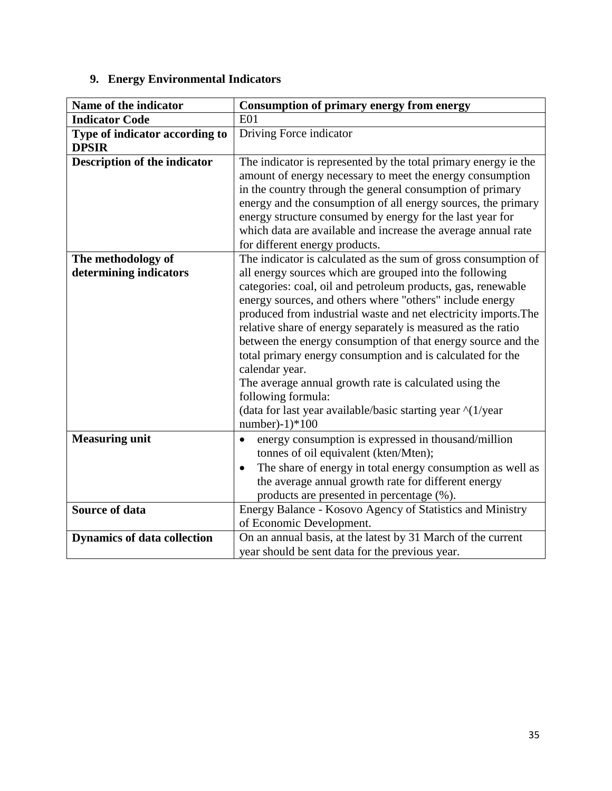# **9. Energy Environmental Indicators**

| Name of the indicator                          | <b>Consumption of primary energy from energy</b>                                                                                                                                                                                                                                                                                                                                                                                                                                                                                                                                                                                                                                                                                                       |
|------------------------------------------------|--------------------------------------------------------------------------------------------------------------------------------------------------------------------------------------------------------------------------------------------------------------------------------------------------------------------------------------------------------------------------------------------------------------------------------------------------------------------------------------------------------------------------------------------------------------------------------------------------------------------------------------------------------------------------------------------------------------------------------------------------------|
| <b>Indicator Code</b>                          | <b>E01</b>                                                                                                                                                                                                                                                                                                                                                                                                                                                                                                                                                                                                                                                                                                                                             |
| Type of indicator according to<br><b>DPSIR</b> | Driving Force indicator                                                                                                                                                                                                                                                                                                                                                                                                                                                                                                                                                                                                                                                                                                                                |
| Description of the indicator                   | The indicator is represented by the total primary energy ie the<br>amount of energy necessary to meet the energy consumption<br>in the country through the general consumption of primary<br>energy and the consumption of all energy sources, the primary<br>energy structure consumed by energy for the last year for<br>which data are available and increase the average annual rate<br>for different energy products.                                                                                                                                                                                                                                                                                                                             |
| The methodology of<br>determining indicators   | The indicator is calculated as the sum of gross consumption of<br>all energy sources which are grouped into the following<br>categories: coal, oil and petroleum products, gas, renewable<br>energy sources, and others where "others" include energy<br>produced from industrial waste and net electricity imports. The<br>relative share of energy separately is measured as the ratio<br>between the energy consumption of that energy source and the<br>total primary energy consumption and is calculated for the<br>calendar year.<br>The average annual growth rate is calculated using the<br>following formula:<br>(data for last year available/basic starting year $\frac{\text{A}}{\text{A}}$ ) (1/year<br>number)- $1$ <sup>*</sup> $100$ |
| <b>Measuring unit</b><br><b>Source of data</b> | energy consumption is expressed in thousand/million<br>$\bullet$<br>tonnes of oil equivalent (kten/Mten);<br>The share of energy in total energy consumption as well as<br>٠<br>the average annual growth rate for different energy<br>products are presented in percentage (%).<br>Energy Balance - Kosovo Agency of Statistics and Ministry                                                                                                                                                                                                                                                                                                                                                                                                          |
|                                                | of Economic Development.                                                                                                                                                                                                                                                                                                                                                                                                                                                                                                                                                                                                                                                                                                                               |
| <b>Dynamics of data collection</b>             | On an annual basis, at the latest by 31 March of the current<br>year should be sent data for the previous year.                                                                                                                                                                                                                                                                                                                                                                                                                                                                                                                                                                                                                                        |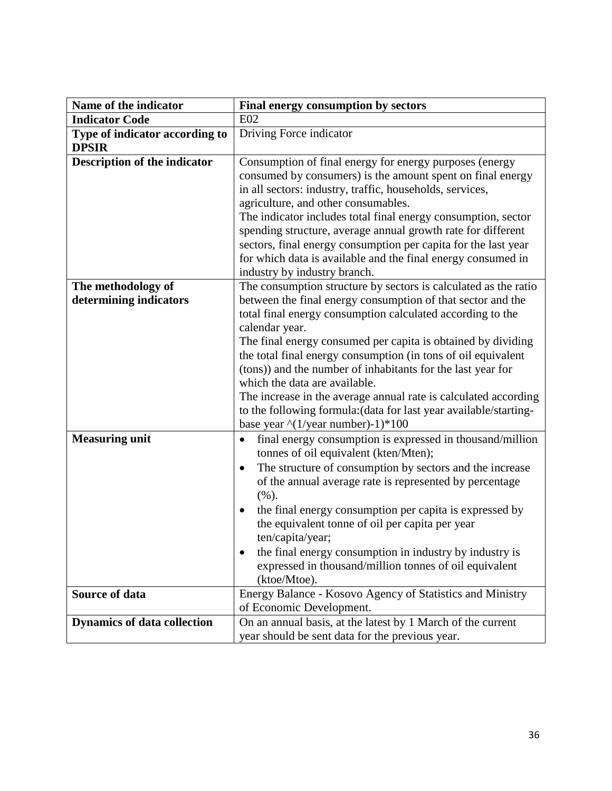| Name of the indicator                          | Final energy consumption by sectors                                                                                                                                                                                                                                                                                                                                                                                                                                                                                                                                                                                                                     |
|------------------------------------------------|---------------------------------------------------------------------------------------------------------------------------------------------------------------------------------------------------------------------------------------------------------------------------------------------------------------------------------------------------------------------------------------------------------------------------------------------------------------------------------------------------------------------------------------------------------------------------------------------------------------------------------------------------------|
| <b>Indicator Code</b>                          | E02                                                                                                                                                                                                                                                                                                                                                                                                                                                                                                                                                                                                                                                     |
| Type of indicator according to<br><b>DPSIR</b> | Driving Force indicator                                                                                                                                                                                                                                                                                                                                                                                                                                                                                                                                                                                                                                 |
| <b>Description of the indicator</b>            | Consumption of final energy for energy purposes (energy<br>consumed by consumers) is the amount spent on final energy<br>in all sectors: industry, traffic, households, services,<br>agriculture, and other consumables.<br>The indicator includes total final energy consumption, sector<br>spending structure, average annual growth rate for different<br>sectors, final energy consumption per capita for the last year<br>for which data is available and the final energy consumed in<br>industry by industry branch.                                                                                                                             |
| The methodology of<br>determining indicators   | The consumption structure by sectors is calculated as the ratio<br>between the final energy consumption of that sector and the<br>total final energy consumption calculated according to the<br>calendar year.<br>The final energy consumed per capita is obtained by dividing<br>the total final energy consumption (in tons of oil equivalent<br>(tons)) and the number of inhabitants for the last year for<br>which the data are available.<br>The increase in the average annual rate is calculated according<br>to the following formula: (data for last year available/starting-<br>base year $\frac{\text{N}}{\text{2}}$ (1/year number)-1)*100 |
| <b>Measuring unit</b>                          | final energy consumption is expressed in thousand/million<br>$\bullet$<br>tonnes of oil equivalent (kten/Mten);<br>The structure of consumption by sectors and the increase<br>٠<br>of the annual average rate is represented by percentage<br>(%).<br>the final energy consumption per capita is expressed by<br>$\bullet$<br>the equivalent tonne of oil per capita per year<br>ten/capita/year;<br>the final energy consumption in industry by industry is<br>expressed in thousand/million tonnes of oil equivalent<br>(ktoe/Mtoe).                                                                                                                 |
| Source of data                                 | Energy Balance - Kosovo Agency of Statistics and Ministry                                                                                                                                                                                                                                                                                                                                                                                                                                                                                                                                                                                               |
| <b>Dynamics of data collection</b>             | of Economic Development.<br>On an annual basis, at the latest by 1 March of the current                                                                                                                                                                                                                                                                                                                                                                                                                                                                                                                                                                 |
|                                                | year should be sent data for the previous year.                                                                                                                                                                                                                                                                                                                                                                                                                                                                                                                                                                                                         |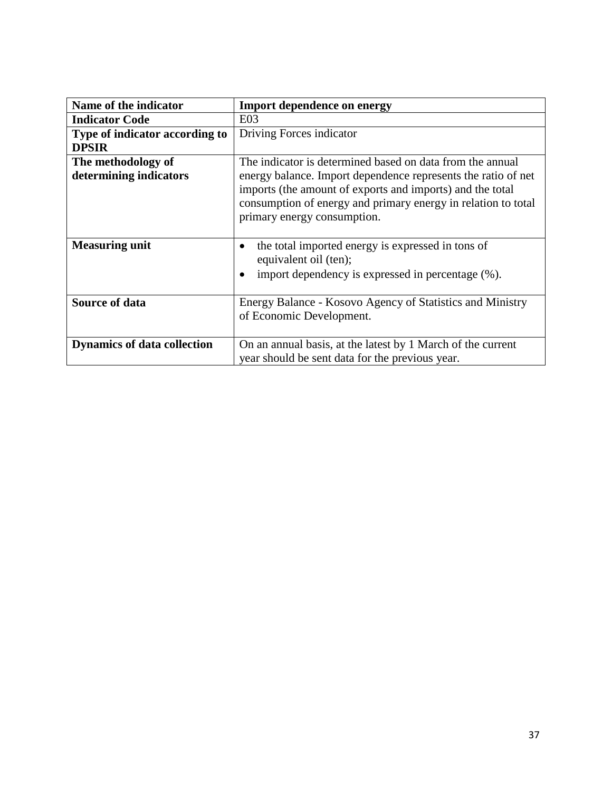| Name of the indicator              | <b>Import dependence on energy</b>                                |
|------------------------------------|-------------------------------------------------------------------|
| <b>Indicator Code</b>              | E03                                                               |
| Type of indicator according to     | Driving Forces indicator                                          |
| <b>DPSIR</b>                       |                                                                   |
| The methodology of                 | The indicator is determined based on data from the annual         |
| determining indicators             | energy balance. Import dependence represents the ratio of net     |
|                                    | imports (the amount of exports and imports) and the total         |
|                                    | consumption of energy and primary energy in relation to total     |
|                                    | primary energy consumption.                                       |
|                                    |                                                                   |
| <b>Measuring unit</b>              | the total imported energy is expressed in tons of<br>$\bullet$    |
|                                    | equivalent oil (ten);                                             |
|                                    | import dependency is expressed in percentage $(\%).$<br>$\bullet$ |
|                                    |                                                                   |
| <b>Source of data</b>              | Energy Balance - Kosovo Agency of Statistics and Ministry         |
|                                    | of Economic Development.                                          |
|                                    |                                                                   |
| <b>Dynamics of data collection</b> | On an annual basis, at the latest by 1 March of the current       |
|                                    | year should be sent data for the previous year.                   |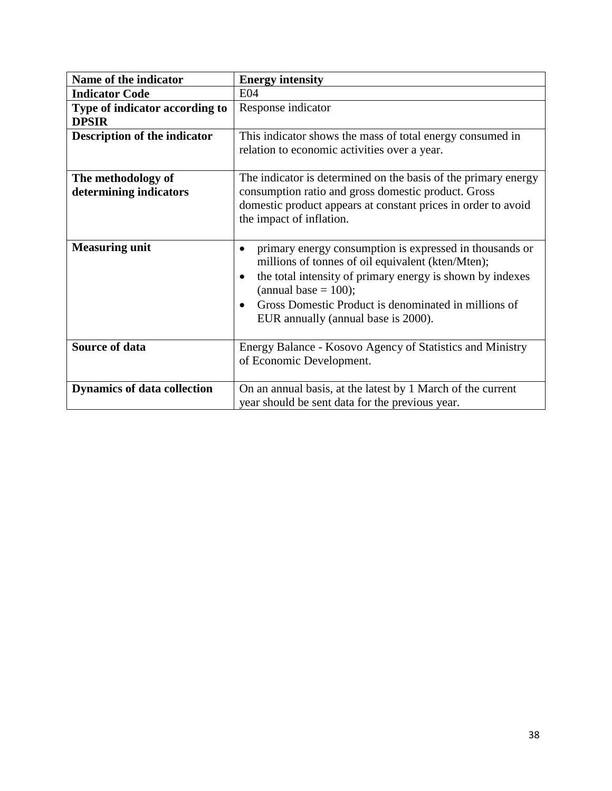| Name of the indicator               | <b>Energy intensity</b>                                                |
|-------------------------------------|------------------------------------------------------------------------|
| <b>Indicator Code</b>               | E <sub>04</sub>                                                        |
| Type of indicator according to      | Response indicator                                                     |
| <b>DPSIR</b>                        |                                                                        |
| <b>Description of the indicator</b> | This indicator shows the mass of total energy consumed in              |
|                                     | relation to economic activities over a year.                           |
|                                     |                                                                        |
| The methodology of                  | The indicator is determined on the basis of the primary energy         |
| determining indicators              | consumption ratio and gross domestic product. Gross                    |
|                                     | domestic product appears at constant prices in order to avoid          |
|                                     | the impact of inflation.                                               |
|                                     |                                                                        |
| <b>Measuring unit</b>               | primary energy consumption is expressed in thousands or<br>$\bullet$   |
|                                     | millions of tonnes of oil equivalent (kten/Mten);                      |
|                                     | the total intensity of primary energy is shown by indexes<br>$\bullet$ |
|                                     | (annual base $= 100$ );                                                |
|                                     | Gross Domestic Product is denominated in millions of<br>$\bullet$      |
|                                     | EUR annually (annual base is 2000).                                    |
|                                     |                                                                        |
| <b>Source of data</b>               | Energy Balance - Kosovo Agency of Statistics and Ministry              |
|                                     | of Economic Development.                                               |
|                                     |                                                                        |
| <b>Dynamics of data collection</b>  | On an annual basis, at the latest by 1 March of the current            |
|                                     | year should be sent data for the previous year.                        |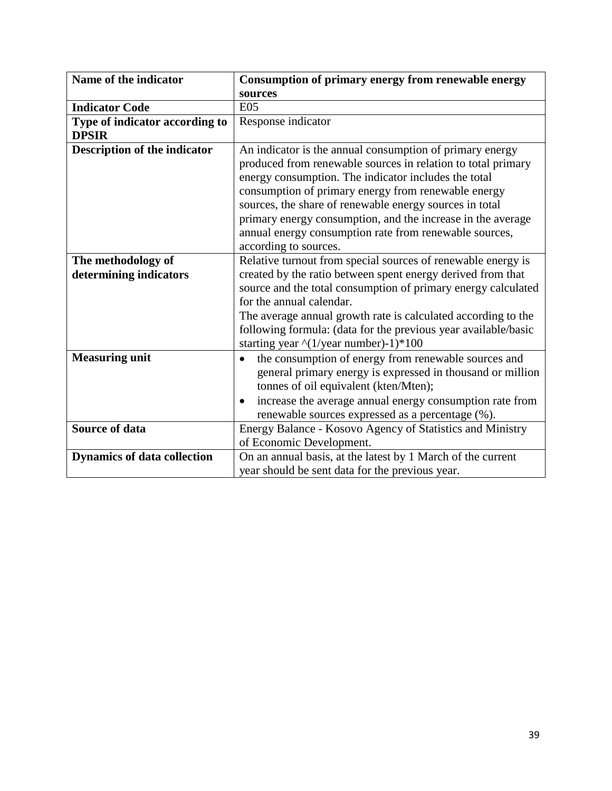| Name of the indicator                          | Consumption of primary energy from renewable energy                                                                                                                                                                                                                                                                                                                                                                                                  |
|------------------------------------------------|------------------------------------------------------------------------------------------------------------------------------------------------------------------------------------------------------------------------------------------------------------------------------------------------------------------------------------------------------------------------------------------------------------------------------------------------------|
|                                                | sources                                                                                                                                                                                                                                                                                                                                                                                                                                              |
| <b>Indicator Code</b>                          | E05                                                                                                                                                                                                                                                                                                                                                                                                                                                  |
| Type of indicator according to<br><b>DPSIR</b> | Response indicator                                                                                                                                                                                                                                                                                                                                                                                                                                   |
| Description of the indicator                   | An indicator is the annual consumption of primary energy<br>produced from renewable sources in relation to total primary<br>energy consumption. The indicator includes the total<br>consumption of primary energy from renewable energy<br>sources, the share of renewable energy sources in total<br>primary energy consumption, and the increase in the average<br>annual energy consumption rate from renewable sources,<br>according to sources. |
| The methodology of<br>determining indicators   | Relative turnout from special sources of renewable energy is<br>created by the ratio between spent energy derived from that<br>source and the total consumption of primary energy calculated<br>for the annual calendar.<br>The average annual growth rate is calculated according to the<br>following formula: (data for the previous year available/basic<br>starting year $\binom{1}{y}$ ear number)-1)*100                                       |
| <b>Measuring unit</b>                          | the consumption of energy from renewable sources and<br>$\bullet$<br>general primary energy is expressed in thousand or million<br>tonnes of oil equivalent (kten/Mten);<br>increase the average annual energy consumption rate from<br>$\bullet$<br>renewable sources expressed as a percentage (%).                                                                                                                                                |
| <b>Source of data</b>                          | Energy Balance - Kosovo Agency of Statistics and Ministry<br>of Economic Development.                                                                                                                                                                                                                                                                                                                                                                |
| <b>Dynamics of data collection</b>             | On an annual basis, at the latest by 1 March of the current<br>year should be sent data for the previous year.                                                                                                                                                                                                                                                                                                                                       |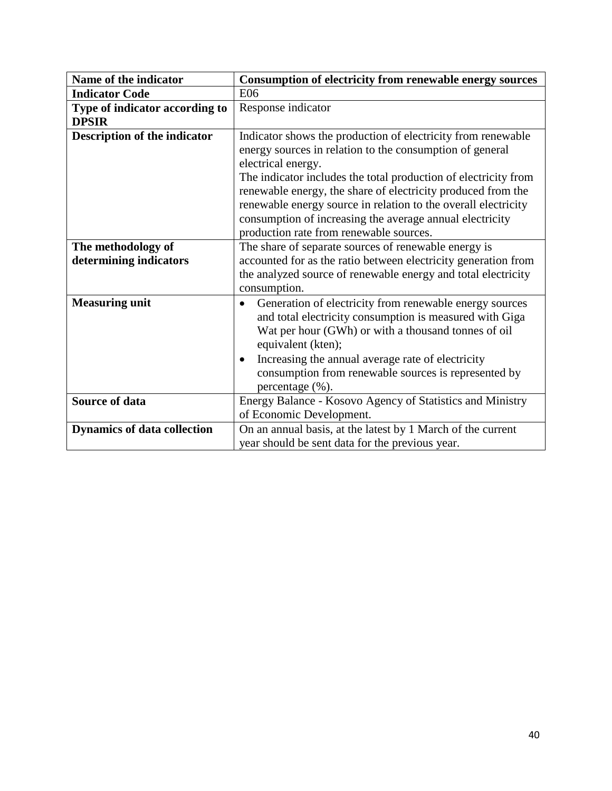| Name of the indicator                          | Consumption of electricity from renewable energy sources                                                                                                                                                                                                                                                                                                                                                                                                   |
|------------------------------------------------|------------------------------------------------------------------------------------------------------------------------------------------------------------------------------------------------------------------------------------------------------------------------------------------------------------------------------------------------------------------------------------------------------------------------------------------------------------|
| <b>Indicator Code</b>                          | E <sub>06</sub>                                                                                                                                                                                                                                                                                                                                                                                                                                            |
| Type of indicator according to<br><b>DPSIR</b> | Response indicator                                                                                                                                                                                                                                                                                                                                                                                                                                         |
| <b>Description of the indicator</b>            | Indicator shows the production of electricity from renewable<br>energy sources in relation to the consumption of general<br>electrical energy.<br>The indicator includes the total production of electricity from<br>renewable energy, the share of electricity produced from the<br>renewable energy source in relation to the overall electricity<br>consumption of increasing the average annual electricity<br>production rate from renewable sources. |
| The methodology of<br>determining indicators   | The share of separate sources of renewable energy is<br>accounted for as the ratio between electricity generation from<br>the analyzed source of renewable energy and total electricity<br>consumption.                                                                                                                                                                                                                                                    |
| <b>Measuring unit</b>                          | Generation of electricity from renewable energy sources<br>and total electricity consumption is measured with Giga<br>Wat per hour (GWh) or with a thousand tonnes of oil<br>equivalent (kten);<br>Increasing the annual average rate of electricity<br>$\bullet$<br>consumption from renewable sources is represented by<br>percentage (%).                                                                                                               |
| Source of data                                 | Energy Balance - Kosovo Agency of Statistics and Ministry<br>of Economic Development.                                                                                                                                                                                                                                                                                                                                                                      |
| <b>Dynamics of data collection</b>             | On an annual basis, at the latest by 1 March of the current<br>year should be sent data for the previous year.                                                                                                                                                                                                                                                                                                                                             |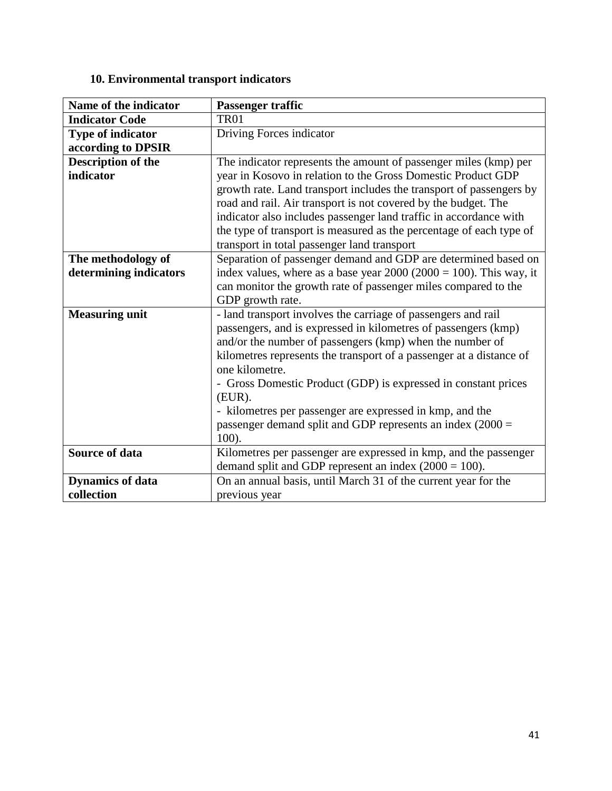## **10. Environmental transport indicators**

| Name of the indicator    | Passenger traffic                                                     |
|--------------------------|-----------------------------------------------------------------------|
| <b>Indicator Code</b>    | TR01                                                                  |
| <b>Type of indicator</b> | Driving Forces indicator                                              |
| according to DPSIR       |                                                                       |
| Description of the       | The indicator represents the amount of passenger miles (kmp) per      |
| indicator                | year in Kosovo in relation to the Gross Domestic Product GDP          |
|                          | growth rate. Land transport includes the transport of passengers by   |
|                          | road and rail. Air transport is not covered by the budget. The        |
|                          | indicator also includes passenger land traffic in accordance with     |
|                          | the type of transport is measured as the percentage of each type of   |
|                          | transport in total passenger land transport                           |
| The methodology of       | Separation of passenger demand and GDP are determined based on        |
| determining indicators   | index values, where as a base year $2000 (2000 = 100)$ . This way, it |
|                          | can monitor the growth rate of passenger miles compared to the        |
|                          | GDP growth rate.                                                      |
| <b>Measuring unit</b>    | - land transport involves the carriage of passengers and rail         |
|                          | passengers, and is expressed in kilometres of passengers (kmp)        |
|                          | and/or the number of passengers (kmp) when the number of              |
|                          | kilometres represents the transport of a passenger at a distance of   |
|                          | one kilometre.                                                        |
|                          | - Gross Domestic Product (GDP) is expressed in constant prices        |
|                          | $(EUR)$ .                                                             |
|                          | - kilometres per passenger are expressed in kmp, and the              |
|                          | passenger demand split and GDP represents an index $(2000 =$          |
|                          | $100$ ).                                                              |
| <b>Source of data</b>    | Kilometres per passenger are expressed in kmp, and the passenger      |
|                          | demand split and GDP represent an index $(2000 = 100)$ .              |
| <b>Dynamics of data</b>  | On an annual basis, until March 31 of the current year for the        |
| collection               | previous year                                                         |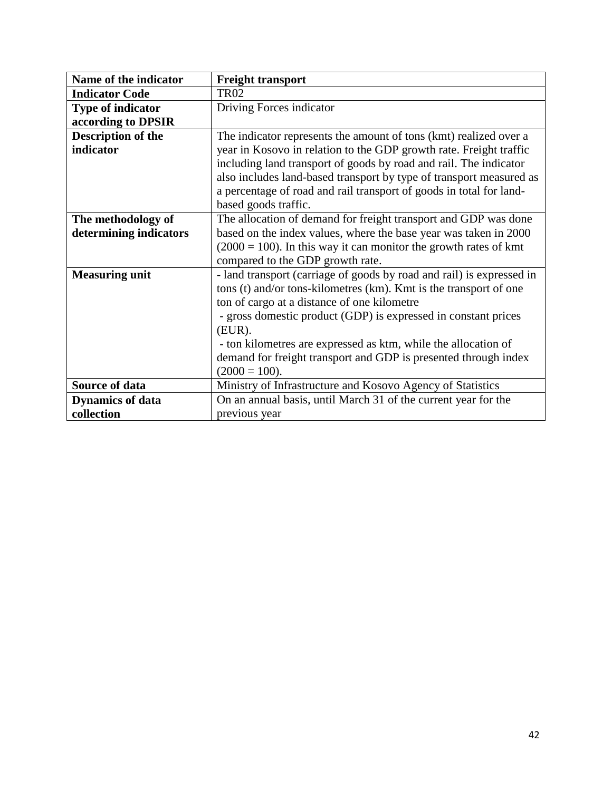| Name of the indicator     | <b>Freight transport</b>                                              |
|---------------------------|-----------------------------------------------------------------------|
| <b>Indicator Code</b>     | <b>TR02</b>                                                           |
| <b>Type of indicator</b>  | Driving Forces indicator                                              |
| according to DPSIR        |                                                                       |
| <b>Description of the</b> | The indicator represents the amount of tons (kmt) realized over a     |
| indicator                 | year in Kosovo in relation to the GDP growth rate. Freight traffic    |
|                           | including land transport of goods by road and rail. The indicator     |
|                           | also includes land-based transport by type of transport measured as   |
|                           | a percentage of road and rail transport of goods in total for land-   |
|                           | based goods traffic.                                                  |
| The methodology of        | The allocation of demand for freight transport and GDP was done       |
| determining indicators    | based on the index values, where the base year was taken in 2000      |
|                           | $(2000 = 100)$ . In this way it can monitor the growth rates of kmt   |
|                           | compared to the GDP growth rate.                                      |
| <b>Measuring unit</b>     | - land transport (carriage of goods by road and rail) is expressed in |
|                           | tons (t) and/or tons-kilometres (km). Kmt is the transport of one     |
|                           | ton of cargo at a distance of one kilometre                           |
|                           | - gross domestic product (GDP) is expressed in constant prices        |
|                           | $(EUR)$ .                                                             |
|                           | - ton kilometres are expressed as ktm, while the allocation of        |
|                           | demand for freight transport and GDP is presented through index       |
|                           | $(2000 = 100).$                                                       |
| Source of data            | Ministry of Infrastructure and Kosovo Agency of Statistics            |
| <b>Dynamics of data</b>   | On an annual basis, until March 31 of the current year for the        |
| collection                | previous year                                                         |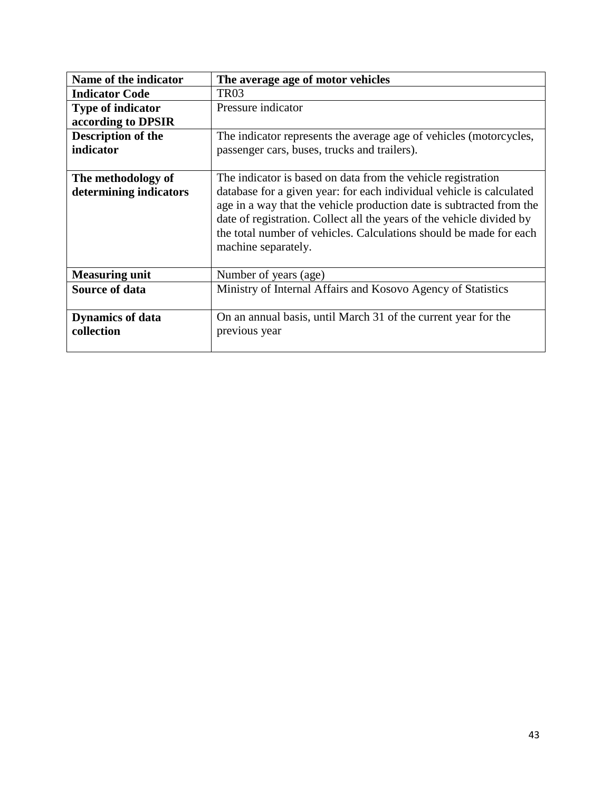| Name of the indicator    | The average age of motor vehicles                                                                                                                                                                                                                                                                                  |
|--------------------------|--------------------------------------------------------------------------------------------------------------------------------------------------------------------------------------------------------------------------------------------------------------------------------------------------------------------|
| <b>Indicator Code</b>    | TR <sub>03</sub>                                                                                                                                                                                                                                                                                                   |
| <b>Type of indicator</b> | Pressure indicator                                                                                                                                                                                                                                                                                                 |
| according to DPSIR       |                                                                                                                                                                                                                                                                                                                    |
| Description of the       | The indicator represents the average age of vehicles (motorcycles,                                                                                                                                                                                                                                                 |
| indicator                | passenger cars, buses, trucks and trailers).                                                                                                                                                                                                                                                                       |
|                          |                                                                                                                                                                                                                                                                                                                    |
| The methodology of       | The indicator is based on data from the vehicle registration                                                                                                                                                                                                                                                       |
| determining indicators   | database for a given year: for each individual vehicle is calculated<br>age in a way that the vehicle production date is subtracted from the<br>date of registration. Collect all the years of the vehicle divided by<br>the total number of vehicles. Calculations should be made for each<br>machine separately. |
| <b>Measuring unit</b>    | Number of years (age)                                                                                                                                                                                                                                                                                              |
| <b>Source of data</b>    | Ministry of Internal Affairs and Kosovo Agency of Statistics                                                                                                                                                                                                                                                       |
| <b>Dynamics of data</b>  | On an annual basis, until March 31 of the current year for the                                                                                                                                                                                                                                                     |
| collection               | previous year                                                                                                                                                                                                                                                                                                      |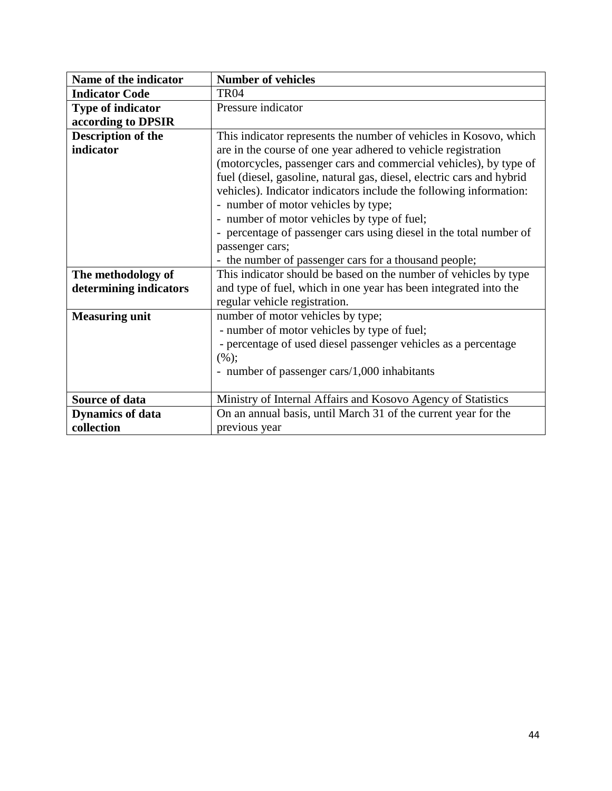| Name of the indicator    | <b>Number of vehicles</b>                                             |
|--------------------------|-----------------------------------------------------------------------|
| <b>Indicator Code</b>    | TR <sub>04</sub>                                                      |
| <b>Type of indicator</b> | Pressure indicator                                                    |
| according to DPSIR       |                                                                       |
| Description of the       | This indicator represents the number of vehicles in Kosovo, which     |
| indicator                | are in the course of one year adhered to vehicle registration         |
|                          | (motorcycles, passenger cars and commercial vehicles), by type of     |
|                          | fuel (diesel, gasoline, natural gas, diesel, electric cars and hybrid |
|                          | vehicles). Indicator indicators include the following information:    |
|                          | - number of motor vehicles by type;                                   |
|                          | - number of motor vehicles by type of fuel;                           |
|                          | - percentage of passenger cars using diesel in the total number of    |
|                          | passenger cars;                                                       |
|                          | - the number of passenger cars for a thousand people;                 |
| The methodology of       | This indicator should be based on the number of vehicles by type      |
| determining indicators   | and type of fuel, which in one year has been integrated into the      |
|                          | regular vehicle registration.                                         |
| <b>Measuring unit</b>    | number of motor vehicles by type;                                     |
|                          | - number of motor vehicles by type of fuel;                           |
|                          | - percentage of used diesel passenger vehicles as a percentage        |
|                          | (%);                                                                  |
|                          | - number of passenger cars/1,000 inhabitants                          |
|                          |                                                                       |
| Source of data           | Ministry of Internal Affairs and Kosovo Agency of Statistics          |
| <b>Dynamics of data</b>  | On an annual basis, until March 31 of the current year for the        |
| collection               | previous year                                                         |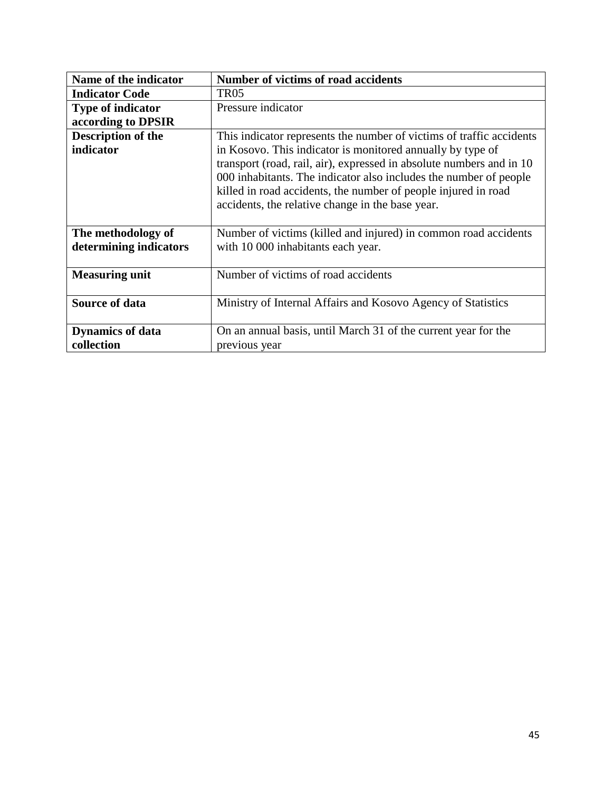| Name of the indicator   | <b>Number of victims of road accidents</b>                           |
|-------------------------|----------------------------------------------------------------------|
| <b>Indicator Code</b>   | <b>TR05</b>                                                          |
| Type of indicator       | Pressure indicator                                                   |
| according to DPSIR      |                                                                      |
| Description of the      | This indicator represents the number of victims of traffic accidents |
| indicator               | in Kosovo. This indicator is monitored annually by type of           |
|                         | transport (road, rail, air), expressed in absolute numbers and in 10 |
|                         | 000 inhabitants. The indicator also includes the number of people    |
|                         | killed in road accidents, the number of people injured in road       |
|                         | accidents, the relative change in the base year.                     |
|                         |                                                                      |
| The methodology of      | Number of victims (killed and injured) in common road accidents      |
| determining indicators  | with 10 000 inhabitants each year.                                   |
|                         |                                                                      |
| <b>Measuring unit</b>   | Number of victims of road accidents                                  |
|                         |                                                                      |
| <b>Source of data</b>   | Ministry of Internal Affairs and Kosovo Agency of Statistics         |
|                         |                                                                      |
| <b>Dynamics of data</b> | On an annual basis, until March 31 of the current year for the       |
| collection              | previous year                                                        |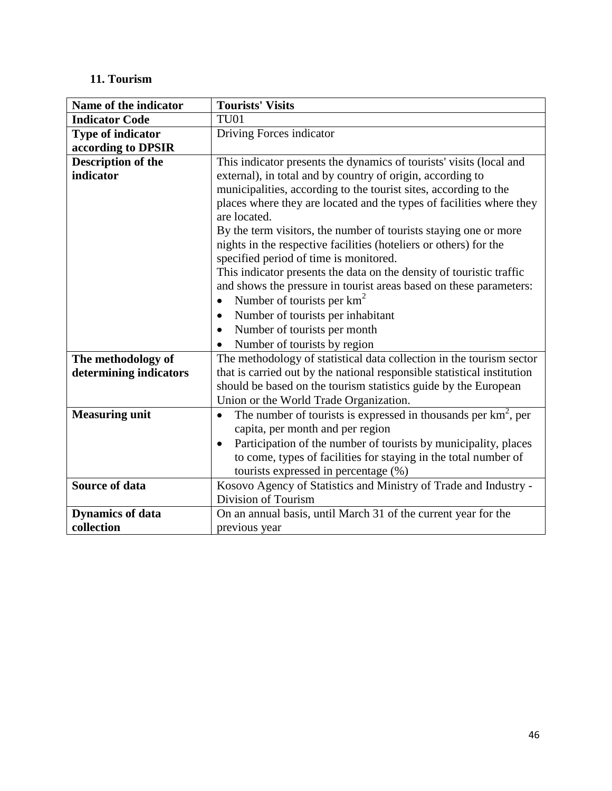# **11. Tourism**

| Name of the indicator    | <b>Tourists' Visits</b>                                                                                     |
|--------------------------|-------------------------------------------------------------------------------------------------------------|
| <b>Indicator Code</b>    | <b>TU01</b>                                                                                                 |
| <b>Type of indicator</b> | Driving Forces indicator                                                                                    |
| according to DPSIR       |                                                                                                             |
| Description of the       | This indicator presents the dynamics of tourists' visits (local and                                         |
| indicator                | external), in total and by country of origin, according to                                                  |
|                          | municipalities, according to the tourist sites, according to the                                            |
|                          | places where they are located and the types of facilities where they<br>are located.                        |
|                          | By the term visitors, the number of tourists staying one or more                                            |
|                          | nights in the respective facilities (hoteliers or others) for the<br>specified period of time is monitored. |
|                          | This indicator presents the data on the density of touristic traffic                                        |
|                          | and shows the pressure in tourist areas based on these parameters:                                          |
|                          | Number of tourists per $km^2$                                                                               |
|                          | Number of tourists per inhabitant<br>$\bullet$                                                              |
|                          | Number of tourists per month                                                                                |
|                          | Number of tourists by region<br>$\bullet$                                                                   |
| The methodology of       | The methodology of statistical data collection in the tourism sector                                        |
| determining indicators   | that is carried out by the national responsible statistical institution                                     |
|                          | should be based on the tourism statistics guide by the European                                             |
|                          | Union or the World Trade Organization.                                                                      |
| <b>Measuring unit</b>    | The number of tourists is expressed in thousands per $km^2$ , per<br>$\bullet$                              |
|                          | capita, per month and per region                                                                            |
|                          | Participation of the number of tourists by municipality, places<br>$\bullet$                                |
|                          | to come, types of facilities for staying in the total number of                                             |
|                          | tourists expressed in percentage (%)                                                                        |
| <b>Source of data</b>    | Kosovo Agency of Statistics and Ministry of Trade and Industry -                                            |
|                          | Division of Tourism                                                                                         |
| <b>Dynamics of data</b>  | On an annual basis, until March 31 of the current year for the                                              |
| collection               | previous year                                                                                               |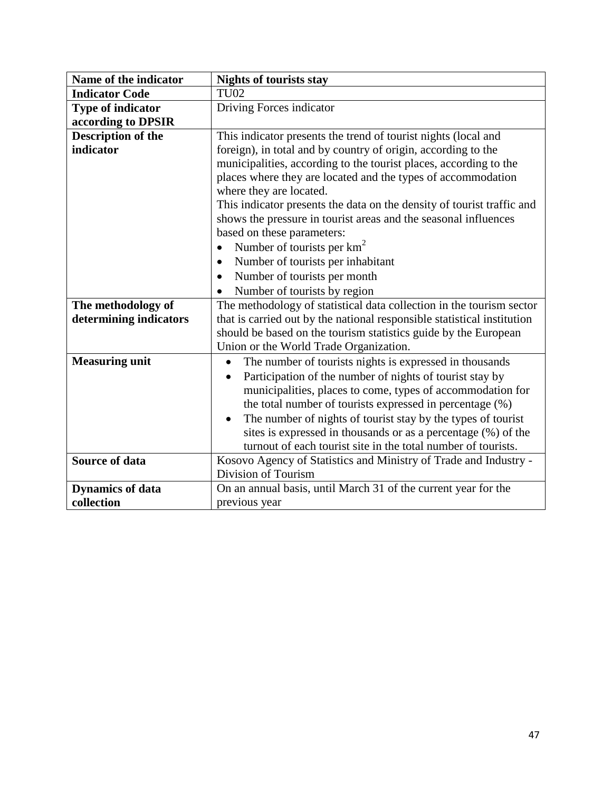| Name of the indicator    | <b>Nights of tourists stay</b>                                          |
|--------------------------|-------------------------------------------------------------------------|
| <b>Indicator Code</b>    | <b>TU02</b>                                                             |
| <b>Type of indicator</b> | Driving Forces indicator                                                |
| according to DPSIR       |                                                                         |
| Description of the       | This indicator presents the trend of tourist nights (local and          |
| indicator                | foreign), in total and by country of origin, according to the           |
|                          | municipalities, according to the tourist places, according to the       |
|                          | places where they are located and the types of accommodation            |
|                          | where they are located.                                                 |
|                          | This indicator presents the data on the density of tourist traffic and  |
|                          | shows the pressure in tourist areas and the seasonal influences         |
|                          | based on these parameters:                                              |
|                          | Number of tourists per $km^2$                                           |
|                          | Number of tourists per inhabitant<br>$\bullet$                          |
|                          | Number of tourists per month                                            |
|                          | Number of tourists by region                                            |
| The methodology of       | The methodology of statistical data collection in the tourism sector    |
| determining indicators   | that is carried out by the national responsible statistical institution |
|                          | should be based on the tourism statistics guide by the European         |
|                          | Union or the World Trade Organization.                                  |
| <b>Measuring unit</b>    | The number of tourists nights is expressed in thousands<br>$\bullet$    |
|                          | Participation of the number of nights of tourist stay by                |
|                          | municipalities, places to come, types of accommodation for              |
|                          | the total number of tourists expressed in percentage (%)                |
|                          | The number of nights of tourist stay by the types of tourist            |
|                          | sites is expressed in thousands or as a percentage (%) of the           |
|                          | turnout of each tourist site in the total number of tourists.           |
| <b>Source of data</b>    | Kosovo Agency of Statistics and Ministry of Trade and Industry -        |
|                          | Division of Tourism                                                     |
| <b>Dynamics of data</b>  | On an annual basis, until March 31 of the current year for the          |
| collection               | previous year                                                           |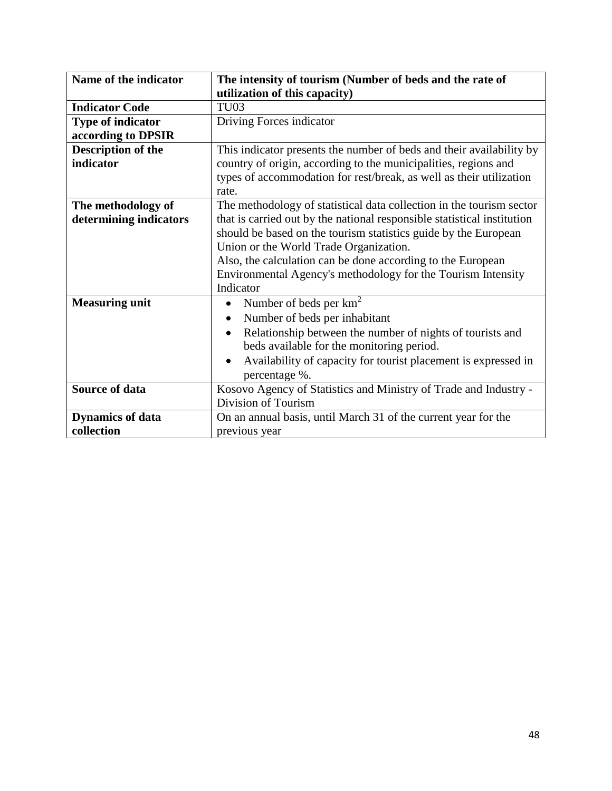| Name of the indicator    | The intensity of tourism (Number of beds and the rate of                |
|--------------------------|-------------------------------------------------------------------------|
|                          | utilization of this capacity)                                           |
| <b>Indicator Code</b>    | TU <sub>03</sub>                                                        |
| <b>Type of indicator</b> | Driving Forces indicator                                                |
| according to DPSIR       |                                                                         |
| Description of the       | This indicator presents the number of beds and their availability by    |
| indicator                | country of origin, according to the municipalities, regions and         |
|                          | types of accommodation for rest/break, as well as their utilization     |
|                          | rate.                                                                   |
| The methodology of       | The methodology of statistical data collection in the tourism sector    |
| determining indicators   | that is carried out by the national responsible statistical institution |
|                          | should be based on the tourism statistics guide by the European         |
|                          | Union or the World Trade Organization.                                  |
|                          | Also, the calculation can be done according to the European             |
|                          | Environmental Agency's methodology for the Tourism Intensity            |
|                          | Indicator                                                               |
| <b>Measuring unit</b>    | Number of beds per $km^2$<br>$\bullet$                                  |
|                          | Number of beds per inhabitant<br>$\bullet$                              |
|                          | Relationship between the number of nights of tourists and<br>$\bullet$  |
|                          | beds available for the monitoring period.                               |
|                          | Availability of capacity for tourist placement is expressed in          |
|                          | percentage %.                                                           |
| Source of data           | Kosovo Agency of Statistics and Ministry of Trade and Industry -        |
|                          | Division of Tourism                                                     |
| <b>Dynamics of data</b>  | On an annual basis, until March 31 of the current year for the          |
| collection               | previous year                                                           |